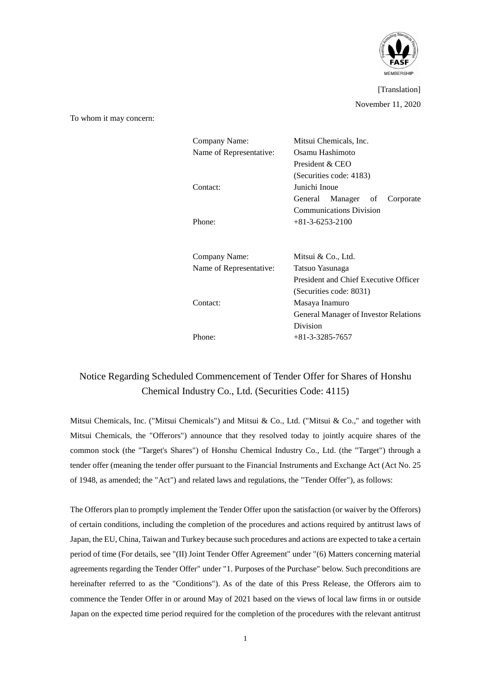

[Translation] November 11, 2020

To whom it may concern:

| Company Name:<br>Name of Representative:<br>Contact: | Mitsui Chemicals, Inc.<br>Osamu Hashimoto<br>President & CEO<br>(Securities code: 4183)<br>Junichi Inoue<br>Manager of<br>General<br>Corporate<br><b>Communications Division</b> |
|------------------------------------------------------|----------------------------------------------------------------------------------------------------------------------------------------------------------------------------------|
| Phone:                                               | $+81-3-6253-2100$                                                                                                                                                                |
| Company Name:                                        | Mitsui & Co., Ltd.                                                                                                                                                               |
| Name of Representative:                              | Tatsuo Yasunaga                                                                                                                                                                  |
| Contact:                                             | President and Chief Executive Officer<br>(Securities code: 8031)<br>Masaya Inamuro<br><b>General Manager of Investor Relations</b><br>Division                                   |
| Phone:                                               | $+81 - 3 - 3285 - 7657$                                                                                                                                                          |
|                                                      |                                                                                                                                                                                  |

# Notice Regarding Scheduled Commencement of Tender Offer for Shares of Honshu Chemical Industry Co., Ltd. (Securities Code: 4115)

Mitsui Chemicals, Inc. ("Mitsui Chemicals") and Mitsui & Co., Ltd. ("Mitsui & Co.," and together with Mitsui Chemicals, the "Offerors") announce that they resolved today to jointly acquire shares of the common stock (the "Target's Shares") of Honshu Chemical Industry Co., Ltd. (the "Target") through a tender offer (meaning the tender offer pursuant to the Financial Instruments and Exchange Act (Act No. 25 of 1948, as amended; the "Act") and related laws and regulations, the "Tender Offer"), as follows:

The Offerors plan to promptly implement the Tender Offer upon the satisfaction (or waiver by the Offerors) of certain conditions, including the completion of the procedures and actions required by antitrust laws of Japan, the EU, China, Taiwan and Turkey because such procedures and actions are expected to take a certain period of time (For details, see "(II) Joint Tender Offer Agreement" under "(6) Matters concerning material agreements regarding the Tender Offer" under "1. Purposes of the Purchase" below. Such preconditions are hereinafter referred to as the "Conditions"). As of the date of this Press Release, the Offerors aim to commence the Tender Offer in or around May of 2021 based on the views of local law firms in or outside Japan on the expected time period required for the completion of the procedures with the relevant antitrust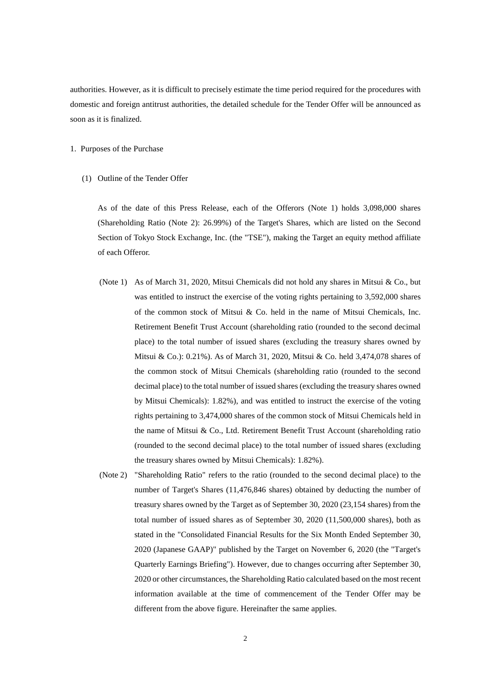authorities. However, as it is difficult to precisely estimate the time period required for the procedures with domestic and foreign antitrust authorities, the detailed schedule for the Tender Offer will be announced as soon as it is finalized.

- 1. Purposes of the Purchase
	- (1) Outline of the Tender Offer

As of the date of this Press Release, each of the Offerors (Note 1) holds 3,098,000 shares (Shareholding Ratio (Note 2): 26.99%) of the Target's Shares, which are listed on the Second Section of Tokyo Stock Exchange, Inc. (the "TSE"), making the Target an equity method affiliate of each Offeror.

- (Note 1) As of March 31, 2020, Mitsui Chemicals did not hold any shares in Mitsui & Co., but was entitled to instruct the exercise of the voting rights pertaining to 3,592,000 shares of the common stock of Mitsui & Co. held in the name of Mitsui Chemicals, Inc. Retirement Benefit Trust Account (shareholding ratio (rounded to the second decimal place) to the total number of issued shares (excluding the treasury shares owned by Mitsui & Co.): 0.21%). As of March 31, 2020, Mitsui & Co. held 3,474,078 shares of the common stock of Mitsui Chemicals (shareholding ratio (rounded to the second decimal place) to the total number of issued shares (excluding the treasury shares owned by Mitsui Chemicals): 1.82%), and was entitled to instruct the exercise of the voting rights pertaining to 3,474,000 shares of the common stock of Mitsui Chemicals held in the name of Mitsui & Co., Ltd. Retirement Benefit Trust Account (shareholding ratio (rounded to the second decimal place) to the total number of issued shares (excluding the treasury shares owned by Mitsui Chemicals): 1.82%).
- (Note 2) "Shareholding Ratio" refers to the ratio (rounded to the second decimal place) to the number of Target's Shares (11,476,846 shares) obtained by deducting the number of treasury shares owned by the Target as of September 30, 2020 (23,154 shares) from the total number of issued shares as of September 30, 2020 (11,500,000 shares), both as stated in the "Consolidated Financial Results for the Six Month Ended September 30, 2020 (Japanese GAAP)" published by the Target on November 6, 2020 (the "Target's Quarterly Earnings Briefing"). However, due to changes occurring after September 30, 2020 or other circumstances, the Shareholding Ratio calculated based on the most recent information available at the time of commencement of the Tender Offer may be different from the above figure. Hereinafter the same applies.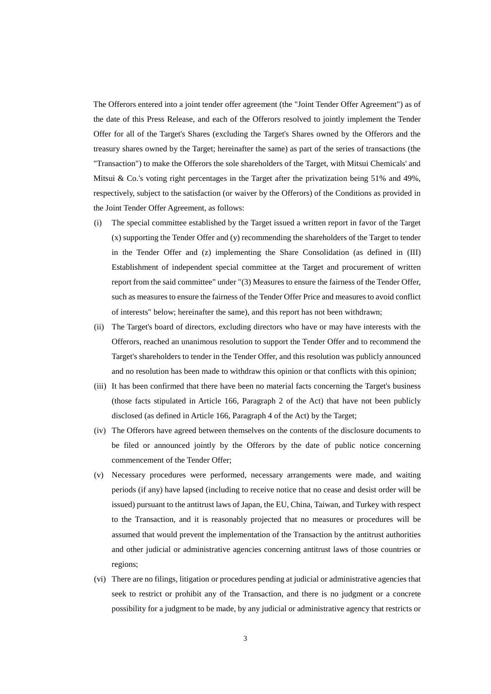The Offerors entered into a joint tender offer agreement (the "Joint Tender Offer Agreement") as of the date of this Press Release, and each of the Offerors resolved to jointly implement the Tender Offer for all of the Target's Shares (excluding the Target's Shares owned by the Offerors and the treasury shares owned by the Target; hereinafter the same) as part of the series of transactions (the "Transaction") to make the Offerors the sole shareholders of the Target, with Mitsui Chemicals' and Mitsui & Co.'s voting right percentages in the Target after the privatization being 51% and 49%, respectively, subject to the satisfaction (or waiver by the Offerors) of the Conditions as provided in the Joint Tender Offer Agreement, as follows:

- (i) The special committee established by the Target issued a written report in favor of the Target (x) supporting the Tender Offer and (y) recommending the shareholders of the Target to tender in the Tender Offer and (z) implementing the Share Consolidation (as defined in (III) Establishment of independent special committee at the Target and procurement of written report from the said committee" under "(3) Measures to ensure the fairness of the Tender Offer, such as measures to ensure the fairness of the Tender Offer Price and measures to avoid conflict of interests" below; hereinafter the same), and this report has not been withdrawn;
- (ii) The Target's board of directors, excluding directors who have or may have interests with the Offerors, reached an unanimous resolution to support the Tender Offer and to recommend the Target's shareholders to tender in the Tender Offer, and this resolution was publicly announced and no resolution has been made to withdraw this opinion or that conflicts with this opinion;
- (iii) It has been confirmed that there have been no material facts concerning the Target's business (those facts stipulated in Article 166, Paragraph 2 of the Act) that have not been publicly disclosed (as defined in Article 166, Paragraph 4 of the Act) by the Target;
- (iv) The Offerors have agreed between themselves on the contents of the disclosure documents to be filed or announced jointly by the Offerors by the date of public notice concerning commencement of the Tender Offer;
- (v) Necessary procedures were performed, necessary arrangements were made, and waiting periods (if any) have lapsed (including to receive notice that no cease and desist order will be issued) pursuant to the antitrust laws of Japan, the EU, China, Taiwan, and Turkey with respect to the Transaction, and it is reasonably projected that no measures or procedures will be assumed that would prevent the implementation of the Transaction by the antitrust authorities and other judicial or administrative agencies concerning antitrust laws of those countries or regions;
- (vi) There are no filings, litigation or procedures pending at judicial or administrative agencies that seek to restrict or prohibit any of the Transaction, and there is no judgment or a concrete possibility for a judgment to be made, by any judicial or administrative agency that restricts or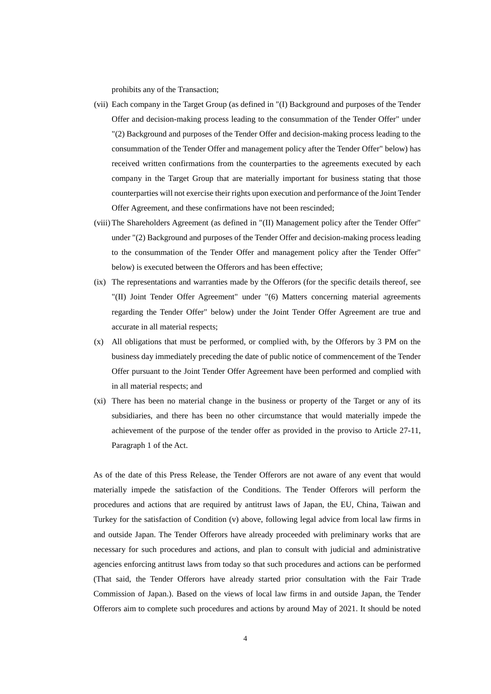prohibits any of the Transaction;

- (vii) Each company in the Target Group (as defined in "(I) Background and purposes of the Tender Offer and decision-making process leading to the consummation of the Tender Offer" under "(2) Background and purposes of the Tender Offer and decision-making process leading to the consummation of the Tender Offer and management policy after the Tender Offer" below) has received written confirmations from the counterparties to the agreements executed by each company in the Target Group that are materially important for business stating that those counterparties will not exercise their rights upon execution and performance of the Joint Tender Offer Agreement, and these confirmations have not been rescinded;
- (viii) The Shareholders Agreement (as defined in "(II) Management policy after the Tender Offer" under "(2) Background and purposes of the Tender Offer and decision-making process leading to the consummation of the Tender Offer and management policy after the Tender Offer" below) is executed between the Offerors and has been effective;
- (ix) The representations and warranties made by the Offerors (for the specific details thereof, see "(II) Joint Tender Offer Agreement" under "(6) Matters concerning material agreements regarding the Tender Offer" below) under the Joint Tender Offer Agreement are true and accurate in all material respects;
- (x) All obligations that must be performed, or complied with, by the Offerors by 3 PM on the business day immediately preceding the date of public notice of commencement of the Tender Offer pursuant to the Joint Tender Offer Agreement have been performed and complied with in all material respects; and
- (xi) There has been no material change in the business or property of the Target or any of its subsidiaries, and there has been no other circumstance that would materially impede the achievement of the purpose of the tender offer as provided in the proviso to Article 27-11, Paragraph 1 of the Act.

As of the date of this Press Release, the Tender Offerors are not aware of any event that would materially impede the satisfaction of the Conditions. The Tender Offerors will perform the procedures and actions that are required by antitrust laws of Japan, the EU, China, Taiwan and Turkey for the satisfaction of Condition (v) above, following legal advice from local law firms in and outside Japan. The Tender Offerors have already proceeded with preliminary works that are necessary for such procedures and actions, and plan to consult with judicial and administrative agencies enforcing antitrust laws from today so that such procedures and actions can be performed (That said, the Tender Offerors have already started prior consultation with the Fair Trade Commission of Japan.). Based on the views of local law firms in and outside Japan, the Tender Offerors aim to complete such procedures and actions by around May of 2021. It should be noted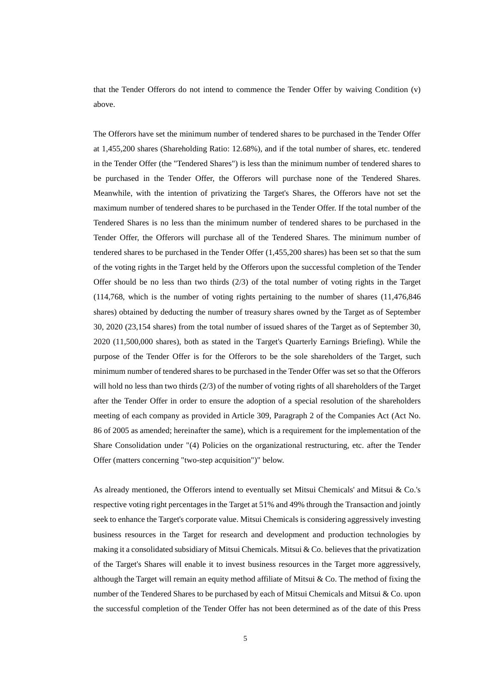that the Tender Offerors do not intend to commence the Tender Offer by waiving Condition (v) above.

The Offerors have set the minimum number of tendered shares to be purchased in the Tender Offer at 1,455,200 shares (Shareholding Ratio: 12.68%), and if the total number of shares, etc. tendered in the Tender Offer (the "Tendered Shares") is less than the minimum number of tendered shares to be purchased in the Tender Offer, the Offerors will purchase none of the Tendered Shares. Meanwhile, with the intention of privatizing the Target's Shares, the Offerors have not set the maximum number of tendered shares to be purchased in the Tender Offer. If the total number of the Tendered Shares is no less than the minimum number of tendered shares to be purchased in the Tender Offer, the Offerors will purchase all of the Tendered Shares. The minimum number of tendered shares to be purchased in the Tender Offer (1,455,200 shares) has been set so that the sum of the voting rights in the Target held by the Offerors upon the successful completion of the Tender Offer should be no less than two thirds  $(2/3)$  of the total number of voting rights in the Target (114,768, which is the number of voting rights pertaining to the number of shares (11,476,846 shares) obtained by deducting the number of treasury shares owned by the Target as of September 30, 2020 (23,154 shares) from the total number of issued shares of the Target as of September 30, 2020 (11,500,000 shares), both as stated in the Target's Quarterly Earnings Briefing). While the purpose of the Tender Offer is for the Offerors to be the sole shareholders of the Target, such minimum number of tendered shares to be purchased in the Tender Offer was set so that the Offerors will hold no less than two thirds (2/3) of the number of voting rights of all shareholders of the Target after the Tender Offer in order to ensure the adoption of a special resolution of the shareholders meeting of each company as provided in Article 309, Paragraph 2 of the Companies Act (Act No. 86 of 2005 as amended; hereinafter the same), which is a requirement for the implementation of the Share Consolidation under "(4) Policies on the organizational restructuring, etc. after the Tender Offer (matters concerning "two-step acquisition")" below.

As already mentioned, the Offerors intend to eventually set Mitsui Chemicals' and Mitsui & Co.'s respective voting right percentages in the Target at 51% and 49% through the Transaction and jointly seek to enhance the Target's corporate value. Mitsui Chemicals is considering aggressively investing business resources in the Target for research and development and production technologies by making it a consolidated subsidiary of Mitsui Chemicals. Mitsui & Co. believes that the privatization of the Target's Shares will enable it to invest business resources in the Target more aggressively, although the Target will remain an equity method affiliate of Mitsui  $\&$  Co. The method of fixing the number of the Tendered Shares to be purchased by each of Mitsui Chemicals and Mitsui & Co. upon the successful completion of the Tender Offer has not been determined as of the date of this Press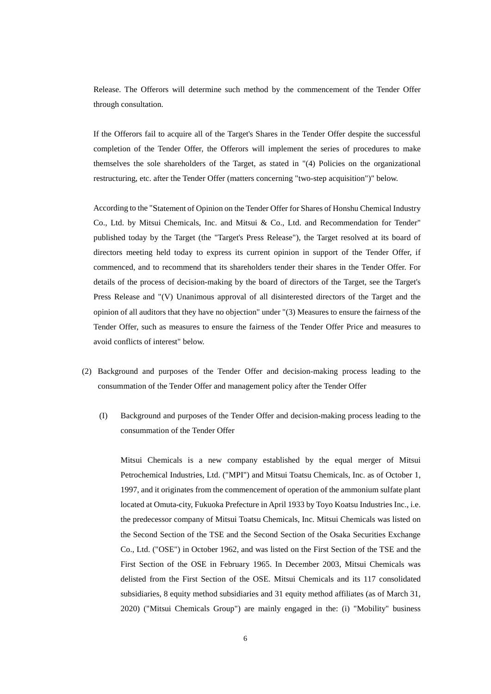Release. The Offerors will determine such method by the commencement of the Tender Offer through consultation.

If the Offerors fail to acquire all of the Target's Shares in the Tender Offer despite the successful completion of the Tender Offer, the Offerors will implement the series of procedures to make themselves the sole shareholders of the Target, as stated in "(4) Policies on the organizational restructuring, etc. after the Tender Offer (matters concerning "two-step acquisition")" below.

According to the "Statement of Opinion on the Tender Offer for Shares of Honshu Chemical Industry Co., Ltd. by Mitsui Chemicals, Inc. and Mitsui & Co., Ltd. and Recommendation for Tender" published today by the Target (the "Target's Press Release"), the Target resolved at its board of directors meeting held today to express its current opinion in support of the Tender Offer, if commenced, and to recommend that its shareholders tender their shares in the Tender Offer. For details of the process of decision-making by the board of directors of the Target, see the Target's Press Release and "(V) Unanimous approval of all disinterested directors of the Target and the opinion of all auditors that they have no objection" under "(3) Measures to ensure the fairness of the Tender Offer, such as measures to ensure the fairness of the Tender Offer Price and measures to avoid conflicts of interest" below.

- (2) Background and purposes of the Tender Offer and decision-making process leading to the consummation of the Tender Offer and management policy after the Tender Offer
	- (I) Background and purposes of the Tender Offer and decision-making process leading to the consummation of the Tender Offer

Mitsui Chemicals is a new company established by the equal merger of Mitsui Petrochemical Industries, Ltd. ("MPI") and Mitsui Toatsu Chemicals, Inc. as of October 1, 1997, and it originates from the commencement of operation of the ammonium sulfate plant located at Omuta-city, Fukuoka Prefecture in April 1933 by Toyo Koatsu Industries Inc., i.e. the predecessor company of Mitsui Toatsu Chemicals, Inc. Mitsui Chemicals was listed on the Second Section of the TSE and the Second Section of the Osaka Securities Exchange Co., Ltd. ("OSE") in October 1962, and was listed on the First Section of the TSE and the First Section of the OSE in February 1965. In December 2003, Mitsui Chemicals was delisted from the First Section of the OSE. Mitsui Chemicals and its 117 consolidated subsidiaries, 8 equity method subsidiaries and 31 equity method affiliates (as of March 31, 2020) ("Mitsui Chemicals Group") are mainly engaged in the: (i) "Mobility" business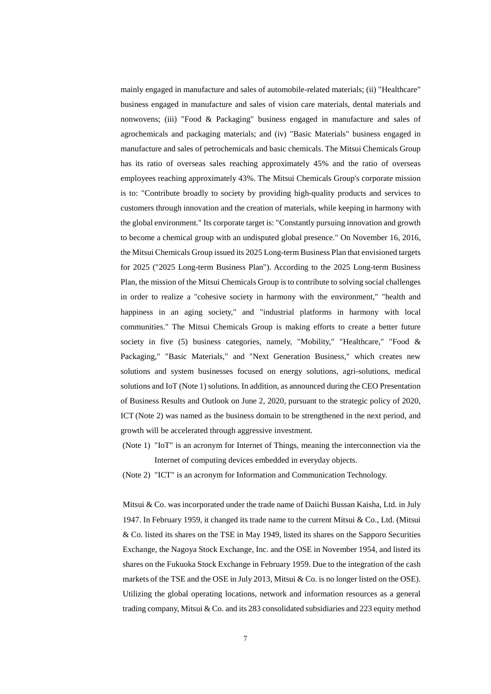mainly engaged in manufacture and sales of automobile-related materials; (ii) "Healthcare" business engaged in manufacture and sales of vision care materials, dental materials and nonwovens; (iii) "Food & Packaging" business engaged in manufacture and sales of agrochemicals and packaging materials; and (iv) "Basic Materials" business engaged in manufacture and sales of petrochemicals and basic chemicals. The Mitsui Chemicals Group has its ratio of overseas sales reaching approximately 45% and the ratio of overseas employees reaching approximately 43%. The Mitsui Chemicals Group's corporate mission is to: "Contribute broadly to society by providing high-quality products and services to customers through innovation and the creation of materials, while keeping in harmony with the global environment." Its corporate target is: "Constantly pursuing innovation and growth to become a chemical group with an undisputed global presence." On November 16, 2016, the Mitsui Chemicals Group issued its 2025 Long-term Business Plan that envisioned targets for 2025 ("2025 Long-term Business Plan"). According to the 2025 Long-term Business Plan, the mission of the Mitsui Chemicals Group is to contribute to solving social challenges in order to realize a "cohesive society in harmony with the environment," "health and happiness in an aging society," and "industrial platforms in harmony with local communities." The Mitsui Chemicals Group is making efforts to create a better future society in five (5) business categories, namely, "Mobility," "Healthcare," "Food  $\&$ Packaging," "Basic Materials," and "Next Generation Business," which creates new solutions and system businesses focused on energy solutions, agri-solutions, medical solutions and IoT (Note 1) solutions. In addition, as announced during the CEO Presentation of Business Results and Outlook on June 2, 2020, pursuant to the strategic policy of 2020, ICT (Note 2) was named as the business domain to be strengthened in the next period, and growth will be accelerated through aggressive investment.

- (Note 1) "IoT" is an acronym for Internet of Things, meaning the interconnection via the Internet of computing devices embedded in everyday objects.
- (Note 2) "ICT" is an acronym for Information and Communication Technology.

Mitsui & Co. was incorporated under the trade name of Daiichi Bussan Kaisha, Ltd. in July 1947. In February 1959, it changed its trade name to the current Mitsui & Co., Ltd. (Mitsui & Co. listed its shares on the TSE in May 1949, listed its shares on the Sapporo Securities Exchange, the Nagoya Stock Exchange, Inc. and the OSE in November 1954, and listed its shares on the Fukuoka Stock Exchange in February 1959. Due to the integration of the cash markets of the TSE and the OSE in July 2013, Mitsui  $\&$  Co. is no longer listed on the OSE). Utilizing the global operating locations, network and information resources as a general trading company, Mitsui & Co. and its 283 consolidated subsidiaries and 223 equity method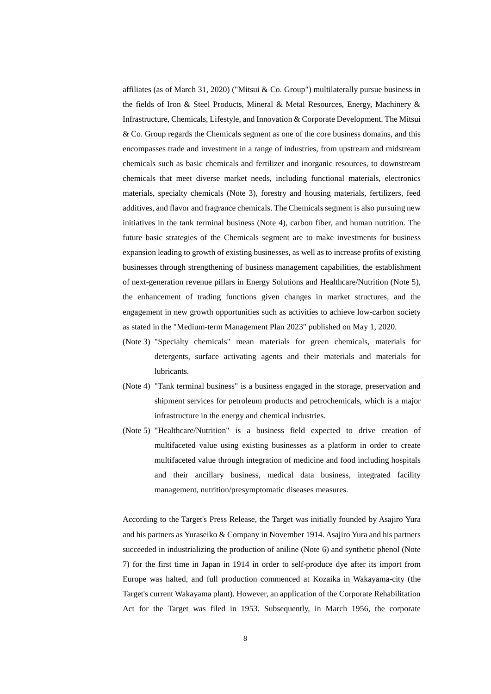affiliates (as of March 31, 2020) ("Mitsui & Co. Group") multilaterally pursue business in the fields of Iron & Steel Products, Mineral & Metal Resources, Energy, Machinery & Infrastructure, Chemicals, Lifestyle, and Innovation & Corporate Development. The Mitsui & Co. Group regards the Chemicals segment as one of the core business domains, and this encompasses trade and investment in a range of industries, from upstream and midstream chemicals such as basic chemicals and fertilizer and inorganic resources, to downstream chemicals that meet diverse market needs, including functional materials, electronics materials, specialty chemicals (Note 3), forestry and housing materials, fertilizers, feed additives, and flavor and fragrance chemicals. The Chemicals segment is also pursuing new initiatives in the tank terminal business (Note 4), carbon fiber, and human nutrition. The future basic strategies of the Chemicals segment are to make investments for business expansion leading to growth of existing businesses, as well as to increase profits of existing businesses through strengthening of business management capabilities, the establishment of next-generation revenue pillars in Energy Solutions and Healthcare/Nutrition (Note 5), the enhancement of trading functions given changes in market structures, and the engagement in new growth opportunities such as activities to achieve low-carbon society as stated in the "Medium-term Management Plan 2023" published on May 1, 2020.

- (Note 3) "Specialty chemicals" mean materials for green chemicals, materials for detergents, surface activating agents and their materials and materials for lubricants.
- (Note 4) "Tank terminal business" is a business engaged in the storage, preservation and shipment services for petroleum products and petrochemicals, which is a major infrastructure in the energy and chemical industries.
- (Note 5) "Healthcare/Nutrition" is a business field expected to drive creation of multifaceted value using existing businesses as a platform in order to create multifaceted value through integration of medicine and food including hospitals and their ancillary business, medical data business, integrated facility management, nutrition/presymptomatic diseases measures.

According to the Target's Press Release, the Target was initially founded by Asajiro Yura and his partners as Yuraseiko & Company in November 1914. Asajiro Yura and his partners succeeded in industrializing the production of aniline (Note 6) and synthetic phenol (Note 7) for the first time in Japan in 1914 in order to self-produce dye after its import from Europe was halted, and full production commenced at Kozaika in Wakayama-city (the Target's current Wakayama plant). However, an application of the Corporate Rehabilitation Act for the Target was filed in 1953. Subsequently, in March 1956, the corporate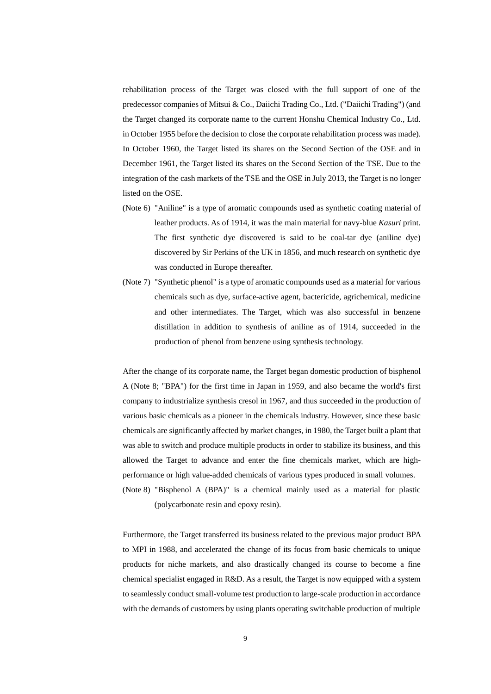rehabilitation process of the Target was closed with the full support of one of the predecessor companies of Mitsui & Co., Daiichi Trading Co., Ltd. ("Daiichi Trading") (and the Target changed its corporate name to the current Honshu Chemical Industry Co., Ltd. in October 1955 before the decision to close the corporate rehabilitation process was made). In October 1960, the Target listed its shares on the Second Section of the OSE and in December 1961, the Target listed its shares on the Second Section of the TSE. Due to the integration of the cash markets of the TSE and the OSE in July 2013, the Target is no longer listed on the OSE.

- (Note 6) "Aniline" is a type of aromatic compounds used as synthetic coating material of leather products. As of 1914, it was the main material for navy-blue *Kasuri* print. The first synthetic dye discovered is said to be coal-tar dye (aniline dye) discovered by Sir Perkins of the UK in 1856, and much research on synthetic dye was conducted in Europe thereafter.
- (Note 7) "Synthetic phenol" is a type of aromatic compounds used as a material for various chemicals such as dye, surface-active agent, bactericide, agrichemical, medicine and other intermediates. The Target, which was also successful in benzene distillation in addition to synthesis of aniline as of 1914, succeeded in the production of phenol from benzene using synthesis technology.

After the change of its corporate name, the Target began domestic production of bisphenol A (Note 8; "BPA") for the first time in Japan in 1959, and also became the world's first company to industrialize synthesis cresol in 1967, and thus succeeded in the production of various basic chemicals as a pioneer in the chemicals industry. However, since these basic chemicals are significantly affected by market changes, in 1980, the Target built a plant that was able to switch and produce multiple products in order to stabilize its business, and this allowed the Target to advance and enter the fine chemicals market, which are highperformance or high value-added chemicals of various types produced in small volumes. (Note 8) "Bisphenol A (BPA)" is a chemical mainly used as a material for plastic

(polycarbonate resin and epoxy resin).

Furthermore, the Target transferred its business related to the previous major product BPA to MPI in 1988, and accelerated the change of its focus from basic chemicals to unique products for niche markets, and also drastically changed its course to become a fine chemical specialist engaged in R&D. As a result, the Target is now equipped with a system to seamlessly conduct small-volume test production to large-scale production in accordance with the demands of customers by using plants operating switchable production of multiple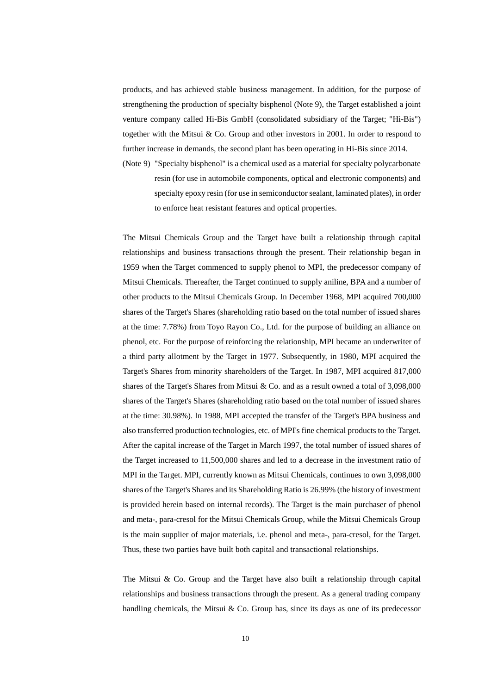products, and has achieved stable business management. In addition, for the purpose of strengthening the production of specialty bisphenol (Note 9), the Target established a joint venture company called Hi-Bis GmbH (consolidated subsidiary of the Target; "Hi-Bis") together with the Mitsui & Co. Group and other investors in 2001. In order to respond to further increase in demands, the second plant has been operating in Hi-Bis since 2014.

(Note 9) "Specialty bisphenol" is a chemical used as a material for specialty polycarbonate resin (for use in automobile components, optical and electronic components) and specialty epoxy resin (for use in semiconductor sealant, laminated plates), in order to enforce heat resistant features and optical properties.

The Mitsui Chemicals Group and the Target have built a relationship through capital relationships and business transactions through the present. Their relationship began in 1959 when the Target commenced to supply phenol to MPI, the predecessor company of Mitsui Chemicals. Thereafter, the Target continued to supply aniline, BPA and a number of other products to the Mitsui Chemicals Group. In December 1968, MPI acquired 700,000 shares of the Target's Shares (shareholding ratio based on the total number of issued shares at the time: 7.78%) from Toyo Rayon Co., Ltd. for the purpose of building an alliance on phenol, etc. For the purpose of reinforcing the relationship, MPI became an underwriter of a third party allotment by the Target in 1977. Subsequently, in 1980, MPI acquired the Target's Shares from minority shareholders of the Target. In 1987, MPI acquired 817,000 shares of the Target's Shares from Mitsui & Co. and as a result owned a total of 3,098,000 shares of the Target's Shares (shareholding ratio based on the total number of issued shares at the time: 30.98%). In 1988, MPI accepted the transfer of the Target's BPA business and also transferred production technologies, etc. of MPI's fine chemical products to the Target. After the capital increase of the Target in March 1997, the total number of issued shares of the Target increased to 11,500,000 shares and led to a decrease in the investment ratio of MPI in the Target. MPI, currently known as Mitsui Chemicals, continues to own 3,098,000 shares of the Target's Shares and its Shareholding Ratio is 26.99% (the history of investment is provided herein based on internal records). The Target is the main purchaser of phenol and meta-, para-cresol for the Mitsui Chemicals Group, while the Mitsui Chemicals Group is the main supplier of major materials, i.e. phenol and meta-, para-cresol, for the Target. Thus, these two parties have built both capital and transactional relationships.

The Mitsui  $\&$  Co. Group and the Target have also built a relationship through capital relationships and business transactions through the present. As a general trading company handling chemicals, the Mitsui  $& Co.$  Group has, since its days as one of its predecessor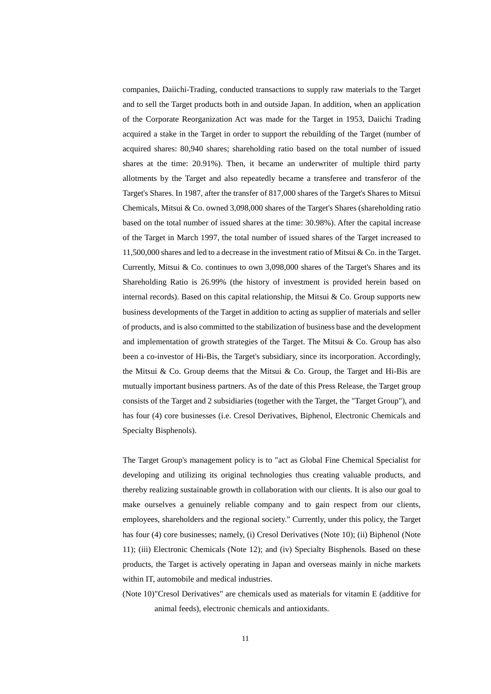companies, Daiichi-Trading, conducted transactions to supply raw materials to the Target and to sell the Target products both in and outside Japan. In addition, when an application of the Corporate Reorganization Act was made for the Target in 1953, Daiichi Trading acquired a stake in the Target in order to support the rebuilding of the Target (number of acquired shares: 80,940 shares; shareholding ratio based on the total number of issued shares at the time: 20.91%). Then, it became an underwriter of multiple third party allotments by the Target and also repeatedly became a transferee and transferor of the Target's Shares. In 1987, after the transfer of 817,000 shares of the Target's Shares to Mitsui Chemicals, Mitsui & Co. owned 3,098,000 shares of the Target's Shares (shareholding ratio based on the total number of issued shares at the time: 30.98%). After the capital increase of the Target in March 1997, the total number of issued shares of the Target increased to 11,500,000 shares and led to a decrease in the investment ratio of Mitsui & Co. in the Target. Currently, Mitsui & Co. continues to own 3,098,000 shares of the Target's Shares and its Shareholding Ratio is 26.99% (the history of investment is provided herein based on internal records). Based on this capital relationship, the Mitsui  $\&$  Co. Group supports new business developments of the Target in addition to acting as supplier of materials and seller of products, and is also committed to the stabilization of business base and the development and implementation of growth strategies of the Target. The Mitsui  $\&$  Co. Group has also been a co-investor of Hi-Bis, the Target's subsidiary, since its incorporation. Accordingly, the Mitsui  $\&$  Co. Group deems that the Mitsui  $\&$  Co. Group, the Target and Hi-Bis are mutually important business partners. As of the date of this Press Release, the Target group consists of the Target and 2 subsidiaries (together with the Target, the "Target Group"), and has four (4) core businesses (i.e. Cresol Derivatives, Biphenol, Electronic Chemicals and Specialty Bisphenols).

The Target Group's management policy is to "act as Global Fine Chemical Specialist for developing and utilizing its original technologies thus creating valuable products, and thereby realizing sustainable growth in collaboration with our clients. It is also our goal to make ourselves a genuinely reliable company and to gain respect from our clients, employees, shareholders and the regional society." Currently, under this policy, the Target has four (4) core businesses; namely, (i) Cresol Derivatives (Note 10); (ii) Biphenol (Note 11); (iii) Electronic Chemicals (Note 12); and (iv) Specialty Bisphenols. Based on these products, the Target is actively operating in Japan and overseas mainly in niche markets within IT, automobile and medical industries.

(Note 10) "Cresol Derivatives" are chemicals used as materials for vitamin E (additive for animal feeds), electronic chemicals and antioxidants.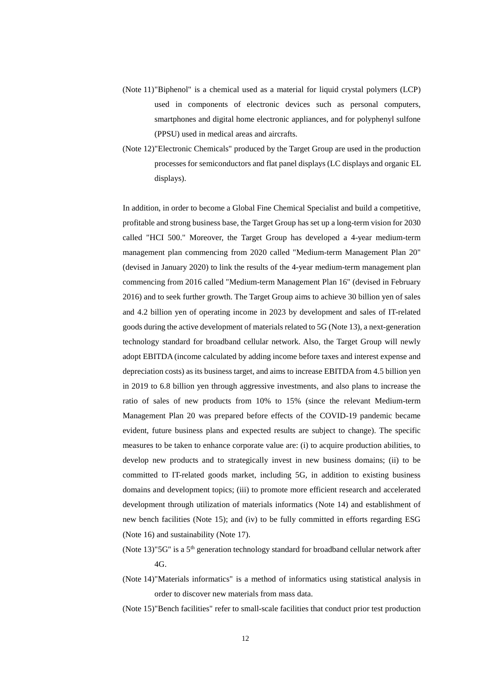- (Note 11) "Biphenol" is a chemical used as a material for liquid crystal polymers (LCP) used in components of electronic devices such as personal computers, smartphones and digital home electronic appliances, and for polyphenyl sulfone (PPSU) used in medical areas and aircrafts.
- (Note 12) "Electronic Chemicals" produced by the Target Group are used in the production processes for semiconductors and flat panel displays (LC displays and organic EL displays).

In addition, in order to become a Global Fine Chemical Specialist and build a competitive, profitable and strong business base, the Target Group has set up a long-term vision for 2030 called "HCI 500." Moreover, the Target Group has developed a 4-year medium-term management plan commencing from 2020 called "Medium-term Management Plan 20" (devised in January 2020) to link the results of the 4-year medium-term management plan commencing from 2016 called "Medium-term Management Plan 16" (devised in February 2016) and to seek further growth. The Target Group aims to achieve 30 billion yen of sales and 4.2 billion yen of operating income in 2023 by development and sales of IT-related goods during the active development of materials related to 5G (Note 13), a next-generation technology standard for broadband cellular network. Also, the Target Group will newly adopt EBITDA (income calculated by adding income before taxes and interest expense and depreciation costs) as its business target, and aims to increase EBITDA from 4.5 billion yen in 2019 to 6.8 billion yen through aggressive investments, and also plans to increase the ratio of sales of new products from 10% to 15% (since the relevant Medium-term Management Plan 20 was prepared before effects of the COVID-19 pandemic became evident, future business plans and expected results are subject to change). The specific measures to be taken to enhance corporate value are: (i) to acquire production abilities, to develop new products and to strategically invest in new business domains; (ii) to be committed to IT-related goods market, including 5G, in addition to existing business domains and development topics; (iii) to promote more efficient research and accelerated development through utilization of materials informatics (Note 14) and establishment of new bench facilities (Note 15); and (iv) to be fully committed in efforts regarding ESG (Note 16) and sustainability (Note 17).

- (Note 13)" $5G$ " is a  $5<sup>th</sup>$  generation technology standard for broadband cellular network after 4G.
- (Note 14) "Materials informatics" is a method of informatics using statistical analysis in order to discover new materials from mass data.
- (Note 15)"Bench facilities" refer to small-scale facilities that conduct prior test production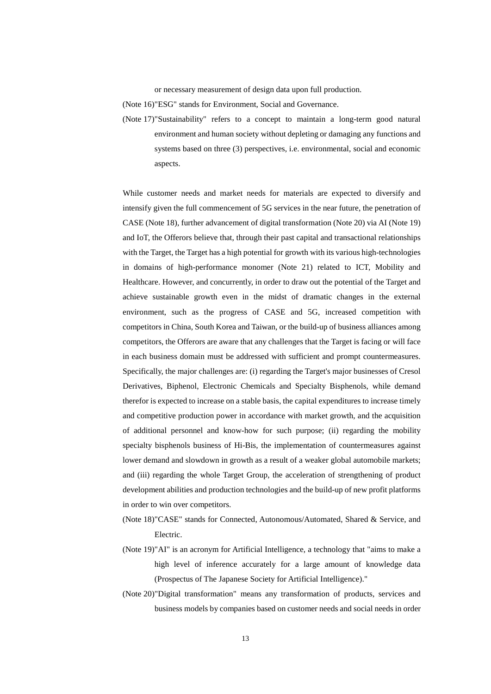or necessary measurement of design data upon full production.

(Note 16) "ESG" stands for Environment, Social and Governance.

(Note 17)"Sustainability" refers to a concept to maintain a long-term good natural environment and human society without depleting or damaging any functions and systems based on three (3) perspectives, i.e. environmental, social and economic aspects.

While customer needs and market needs for materials are expected to diversify and intensify given the full commencement of 5G services in the near future, the penetration of CASE (Note 18), further advancement of digital transformation (Note 20) via AI (Note 19) and IoT, the Offerors believe that, through their past capital and transactional relationships with the Target, the Target has a high potential for growth with its various high-technologies in domains of high-performance monomer (Note 21) related to ICT, Mobility and Healthcare. However, and concurrently, in order to draw out the potential of the Target and achieve sustainable growth even in the midst of dramatic changes in the external environment, such as the progress of CASE and 5G, increased competition with competitors in China, South Korea and Taiwan, or the build-up of business alliances among competitors, the Offerors are aware that any challenges that the Target is facing or will face in each business domain must be addressed with sufficient and prompt countermeasures. Specifically, the major challenges are: (i) regarding the Target's major businesses of Cresol Derivatives, Biphenol, Electronic Chemicals and Specialty Bisphenols, while demand therefor is expected to increase on a stable basis, the capital expenditures to increase timely and competitive production power in accordance with market growth, and the acquisition of additional personnel and know-how for such purpose; (ii) regarding the mobility specialty bisphenols business of Hi-Bis, the implementation of countermeasures against lower demand and slowdown in growth as a result of a weaker global automobile markets; and (iii) regarding the whole Target Group, the acceleration of strengthening of product development abilities and production technologies and the build-up of new profit platforms in order to win over competitors.

- (Note 18)"CASE" stands for Connected, Autonomous/Automated, Shared & Service, and Electric.
- (Note 19) "AI" is an acronym for Artificial Intelligence, a technology that "aims to make a high level of inference accurately for a large amount of knowledge data (Prospectus of The Japanese Society for Artificial Intelligence)."
- (Note 20)"Digital transformation" means any transformation of products, services and business models by companies based on customer needs and social needs in order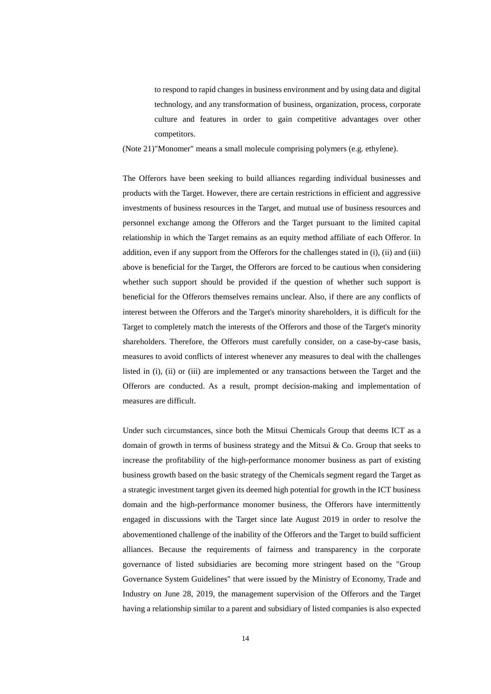to respond to rapid changes in business environment and by using data and digital technology, and any transformation of business, organization, process, corporate culture and features in order to gain competitive advantages over other competitors.

(Note 21) "Monomer" means a small molecule comprising polymers (e.g. ethylene).

The Offerors have been seeking to build alliances regarding individual businesses and products with the Target. However, there are certain restrictions in efficient and aggressive investments of business resources in the Target, and mutual use of business resources and personnel exchange among the Offerors and the Target pursuant to the limited capital relationship in which the Target remains as an equity method affiliate of each Offeror. In addition, even if any support from the Offerors for the challenges stated in (i), (ii) and (iii) above is beneficial for the Target, the Offerors are forced to be cautious when considering whether such support should be provided if the question of whether such support is beneficial for the Offerors themselves remains unclear. Also, if there are any conflicts of interest between the Offerors and the Target's minority shareholders, it is difficult for the Target to completely match the interests of the Offerors and those of the Target's minority shareholders. Therefore, the Offerors must carefully consider, on a case-by-case basis, measures to avoid conflicts of interest whenever any measures to deal with the challenges listed in (i), (ii) or (iii) are implemented or any transactions between the Target and the Offerors are conducted. As a result, prompt decision-making and implementation of measures are difficult.

Under such circumstances, since both the Mitsui Chemicals Group that deems ICT as a domain of growth in terms of business strategy and the Mitsui  $\&$  Co. Group that seeks to increase the profitability of the high-performance monomer business as part of existing business growth based on the basic strategy of the Chemicals segment regard the Target as a strategic investment target given its deemed high potential for growth in the ICT business domain and the high-performance monomer business, the Offerors have intermittently engaged in discussions with the Target since late August 2019 in order to resolve the abovementioned challenge of the inability of the Offerors and the Target to build sufficient alliances. Because the requirements of fairness and transparency in the corporate governance of listed subsidiaries are becoming more stringent based on the "Group Governance System Guidelines" that were issued by the Ministry of Economy, Trade and Industry on June 28, 2019, the management supervision of the Offerors and the Target having a relationship similar to a parent and subsidiary of listed companies is also expected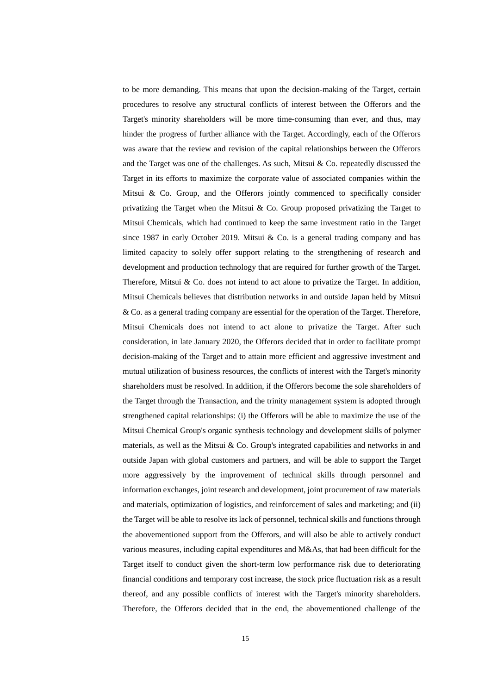to be more demanding. This means that upon the decision-making of the Target, certain procedures to resolve any structural conflicts of interest between the Offerors and the Target's minority shareholders will be more time-consuming than ever, and thus, may hinder the progress of further alliance with the Target. Accordingly, each of the Offerors was aware that the review and revision of the capital relationships between the Offerors and the Target was one of the challenges. As such, Mitsui & Co. repeatedly discussed the Target in its efforts to maximize the corporate value of associated companies within the Mitsui & Co. Group, and the Offerors jointly commenced to specifically consider privatizing the Target when the Mitsui  $\&$  Co. Group proposed privatizing the Target to Mitsui Chemicals, which had continued to keep the same investment ratio in the Target since 1987 in early October 2019. Mitsui & Co. is a general trading company and has limited capacity to solely offer support relating to the strengthening of research and development and production technology that are required for further growth of the Target. Therefore, Mitsui  $& Co.$  does not intend to act alone to privatize the Target. In addition, Mitsui Chemicals believes that distribution networks in and outside Japan held by Mitsui & Co. as a general trading company are essential for the operation of the Target. Therefore, Mitsui Chemicals does not intend to act alone to privatize the Target. After such consideration, in late January 2020, the Offerors decided that in order to facilitate prompt decision-making of the Target and to attain more efficient and aggressive investment and mutual utilization of business resources, the conflicts of interest with the Target's minority shareholders must be resolved. In addition, if the Offerors become the sole shareholders of the Target through the Transaction, and the trinity management system is adopted through strengthened capital relationships: (i) the Offerors will be able to maximize the use of the Mitsui Chemical Group's organic synthesis technology and development skills of polymer materials, as well as the Mitsui & Co. Group's integrated capabilities and networks in and outside Japan with global customers and partners, and will be able to support the Target more aggressively by the improvement of technical skills through personnel and information exchanges, joint research and development, joint procurement of raw materials and materials, optimization of logistics, and reinforcement of sales and marketing; and (ii) the Target will be able to resolve its lack of personnel, technical skills and functions through the abovementioned support from the Offerors, and will also be able to actively conduct various measures, including capital expenditures and M&As, that had been difficult for the Target itself to conduct given the short-term low performance risk due to deteriorating financial conditions and temporary cost increase, the stock price fluctuation risk as a result thereof, and any possible conflicts of interest with the Target's minority shareholders. Therefore, the Offerors decided that in the end, the abovementioned challenge of the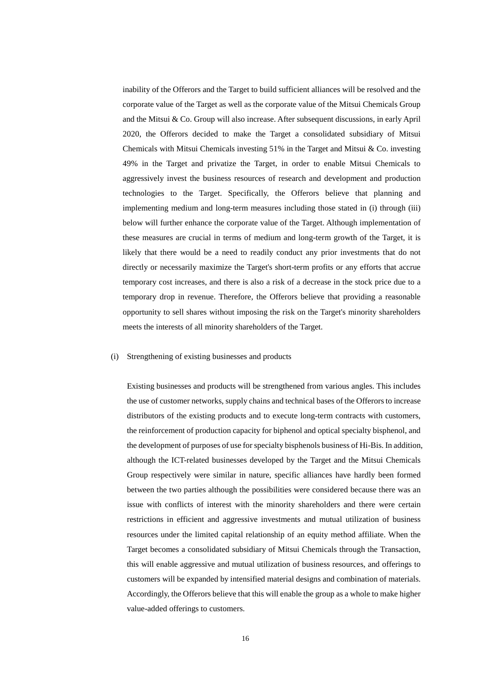inability of the Offerors and the Target to build sufficient alliances will be resolved and the corporate value of the Target as well as the corporate value of the Mitsui Chemicals Group and the Mitsui & Co. Group will also increase. After subsequent discussions, in early April 2020, the Offerors decided to make the Target a consolidated subsidiary of Mitsui Chemicals with Mitsui Chemicals investing  $51\%$  in the Target and Mitsui & Co. investing 49% in the Target and privatize the Target, in order to enable Mitsui Chemicals to aggressively invest the business resources of research and development and production technologies to the Target. Specifically, the Offerors believe that planning and implementing medium and long-term measures including those stated in (i) through (iii) below will further enhance the corporate value of the Target. Although implementation of these measures are crucial in terms of medium and long-term growth of the Target, it is likely that there would be a need to readily conduct any prior investments that do not directly or necessarily maximize the Target's short-term profits or any efforts that accrue temporary cost increases, and there is also a risk of a decrease in the stock price due to a temporary drop in revenue. Therefore, the Offerors believe that providing a reasonable opportunity to sell shares without imposing the risk on the Target's minority shareholders meets the interests of all minority shareholders of the Target.

# (i) Strengthening of existing businesses and products

Existing businesses and products will be strengthened from various angles. This includes the use of customer networks, supply chains and technical bases of the Offerors to increase distributors of the existing products and to execute long-term contracts with customers, the reinforcement of production capacity for biphenol and optical specialty bisphenol, and the development of purposes of use for specialty bisphenols business of Hi-Bis. In addition, although the ICT-related businesses developed by the Target and the Mitsui Chemicals Group respectively were similar in nature, specific alliances have hardly been formed between the two parties although the possibilities were considered because there was an issue with conflicts of interest with the minority shareholders and there were certain restrictions in efficient and aggressive investments and mutual utilization of business resources under the limited capital relationship of an equity method affiliate. When the Target becomes a consolidated subsidiary of Mitsui Chemicals through the Transaction, this will enable aggressive and mutual utilization of business resources, and offerings to customers will be expanded by intensified material designs and combination of materials. Accordingly, the Offerors believe that this will enable the group as a whole to make higher value-added offerings to customers.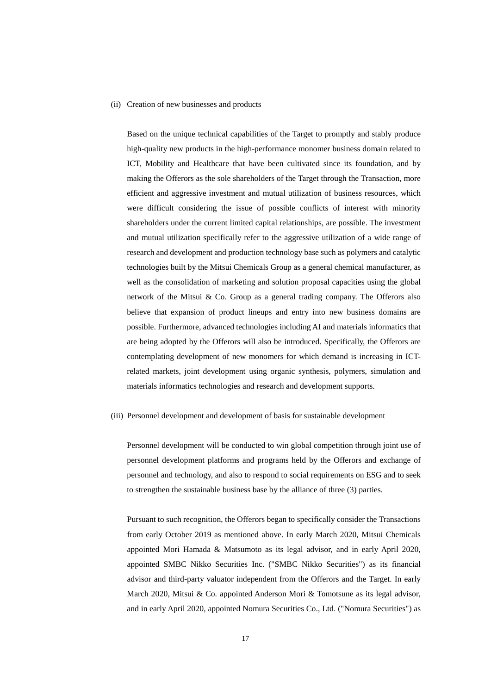# (ii) Creation of new businesses and products

Based on the unique technical capabilities of the Target to promptly and stably produce high-quality new products in the high-performance monomer business domain related to ICT, Mobility and Healthcare that have been cultivated since its foundation, and by making the Offerors as the sole shareholders of the Target through the Transaction, more efficient and aggressive investment and mutual utilization of business resources, which were difficult considering the issue of possible conflicts of interest with minority shareholders under the current limited capital relationships, are possible. The investment and mutual utilization specifically refer to the aggressive utilization of a wide range of research and development and production technology base such as polymers and catalytic technologies built by the Mitsui Chemicals Group as a general chemical manufacturer, as well as the consolidation of marketing and solution proposal capacities using the global network of the Mitsui & Co. Group as a general trading company. The Offerors also believe that expansion of product lineups and entry into new business domains are possible. Furthermore, advanced technologies including AI and materials informatics that are being adopted by the Offerors will also be introduced. Specifically, the Offerors are contemplating development of new monomers for which demand is increasing in ICTrelated markets, joint development using organic synthesis, polymers, simulation and materials informatics technologies and research and development supports.

## (iii) Personnel development and development of basis for sustainable development

Personnel development will be conducted to win global competition through joint use of personnel development platforms and programs held by the Offerors and exchange of personnel and technology, and also to respond to social requirements on ESG and to seek to strengthen the sustainable business base by the alliance of three (3) parties.

Pursuant to such recognition, the Offerors began to specifically consider the Transactions from early October 2019 as mentioned above. In early March 2020, Mitsui Chemicals appointed Mori Hamada & Matsumoto as its legal advisor, and in early April 2020, appointed SMBC Nikko Securities Inc. ("SMBC Nikko Securities") as its financial advisor and third-party valuator independent from the Offerors and the Target. In early March 2020, Mitsui & Co. appointed Anderson Mori & Tomotsune as its legal advisor, and in early April 2020, appointed Nomura Securities Co., Ltd. ("Nomura Securities") as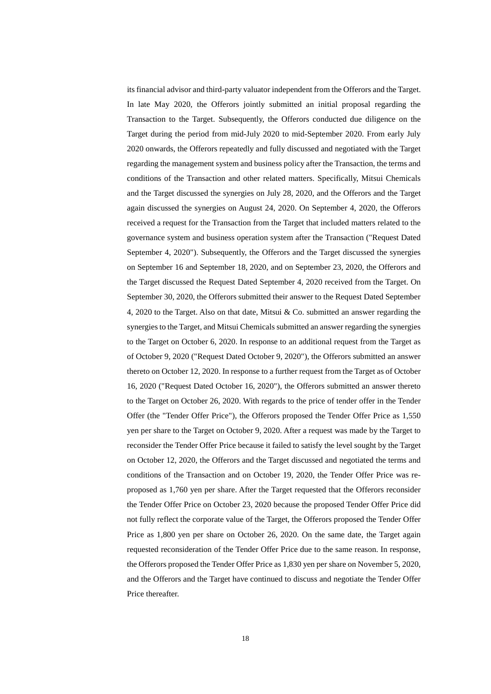its financial advisor and third-party valuator independent from the Offerors and the Target. In late May 2020, the Offerors jointly submitted an initial proposal regarding the Transaction to the Target. Subsequently, the Offerors conducted due diligence on the Target during the period from mid-July 2020 to mid-September 2020. From early July 2020 onwards, the Offerors repeatedly and fully discussed and negotiated with the Target regarding the management system and business policy after the Transaction, the terms and conditions of the Transaction and other related matters. Specifically, Mitsui Chemicals and the Target discussed the synergies on July 28, 2020, and the Offerors and the Target again discussed the synergies on August 24, 2020. On September 4, 2020, the Offerors received a request for the Transaction from the Target that included matters related to the governance system and business operation system after the Transaction ("Request Dated September 4, 2020"). Subsequently, the Offerors and the Target discussed the synergies on September 16 and September 18, 2020, and on September 23, 2020, the Offerors and the Target discussed the Request Dated September 4, 2020 received from the Target. On September 30, 2020, the Offerors submitted their answer to the Request Dated September 4, 2020 to the Target. Also on that date, Mitsui & Co. submitted an answer regarding the synergies to the Target, and Mitsui Chemicals submitted an answer regarding the synergies to the Target on October 6, 2020. In response to an additional request from the Target as of October 9, 2020 ("Request Dated October 9, 2020"), the Offerors submitted an answer thereto on October 12, 2020. In response to a further request from the Target as of October 16, 2020 ("Request Dated October 16, 2020"), the Offerors submitted an answer thereto to the Target on October 26, 2020. With regards to the price of tender offer in the Tender Offer (the "Tender Offer Price"), the Offerors proposed the Tender Offer Price as 1,550 yen per share to the Target on October 9, 2020. After a request was made by the Target to reconsider the Tender Offer Price because it failed to satisfy the level sought by the Target on October 12, 2020, the Offerors and the Target discussed and negotiated the terms and conditions of the Transaction and on October 19, 2020, the Tender Offer Price was reproposed as 1,760 yen per share. After the Target requested that the Offerors reconsider the Tender Offer Price on October 23, 2020 because the proposed Tender Offer Price did not fully reflect the corporate value of the Target, the Offerors proposed the Tender Offer Price as 1,800 yen per share on October 26, 2020. On the same date, the Target again requested reconsideration of the Tender Offer Price due to the same reason. In response, the Offerors proposed the Tender Offer Price as 1,830 yen per share on November 5, 2020, and the Offerors and the Target have continued to discuss and negotiate the Tender Offer Price thereafter.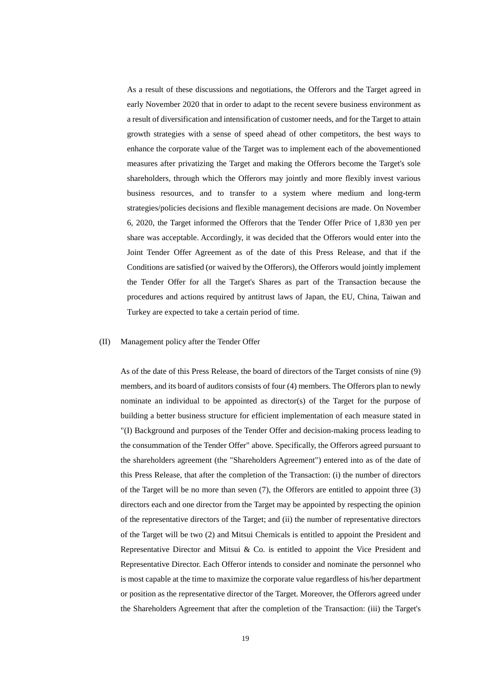As a result of these discussions and negotiations, the Offerors and the Target agreed in early November 2020 that in order to adapt to the recent severe business environment as a result of diversification and intensification of customer needs, and for the Target to attain growth strategies with a sense of speed ahead of other competitors, the best ways to enhance the corporate value of the Target was to implement each of the abovementioned measures after privatizing the Target and making the Offerors become the Target's sole shareholders, through which the Offerors may jointly and more flexibly invest various business resources, and to transfer to a system where medium and long-term strategies/policies decisions and flexible management decisions are made. On November 6, 2020, the Target informed the Offerors that the Tender Offer Price of 1,830 yen per share was acceptable. Accordingly, it was decided that the Offerors would enter into the Joint Tender Offer Agreement as of the date of this Press Release, and that if the Conditions are satisfied (or waived by the Offerors), the Offerors would jointly implement the Tender Offer for all the Target's Shares as part of the Transaction because the procedures and actions required by antitrust laws of Japan, the EU, China, Taiwan and Turkey are expected to take a certain period of time.

# (II) Management policy after the Tender Offer

As of the date of this Press Release, the board of directors of the Target consists of nine (9) members, and its board of auditors consists of four (4) members. The Offerors plan to newly nominate an individual to be appointed as director(s) of the Target for the purpose of building a better business structure for efficient implementation of each measure stated in "(I) Background and purposes of the Tender Offer and decision-making process leading to the consummation of the Tender Offer" above. Specifically, the Offerors agreed pursuant to the shareholders agreement (the "Shareholders Agreement") entered into as of the date of this Press Release, that after the completion of the Transaction: (i) the number of directors of the Target will be no more than seven (7), the Offerors are entitled to appoint three (3) directors each and one director from the Target may be appointed by respecting the opinion of the representative directors of the Target; and (ii) the number of representative directors of the Target will be two (2) and Mitsui Chemicals is entitled to appoint the President and Representative Director and Mitsui & Co. is entitled to appoint the Vice President and Representative Director. Each Offeror intends to consider and nominate the personnel who is most capable at the time to maximize the corporate value regardless of his/her department or position as the representative director of the Target. Moreover, the Offerors agreed under the Shareholders Agreement that after the completion of the Transaction: (iii) the Target's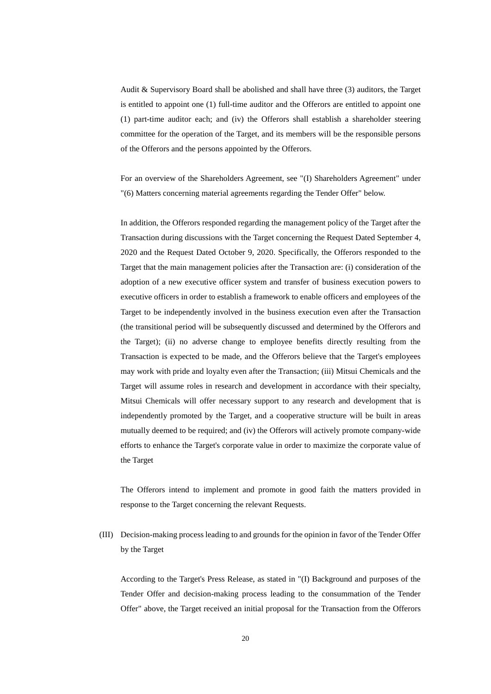Audit & Supervisory Board shall be abolished and shall have three (3) auditors, the Target is entitled to appoint one (1) full-time auditor and the Offerors are entitled to appoint one (1) part-time auditor each; and (iv) the Offerors shall establish a shareholder steering committee for the operation of the Target, and its members will be the responsible persons of the Offerors and the persons appointed by the Offerors.

For an overview of the Shareholders Agreement, see "(I) Shareholders Agreement" under "(6) Matters concerning material agreements regarding the Tender Offer" below.

In addition, the Offerors responded regarding the management policy of the Target after the Transaction during discussions with the Target concerning the Request Dated September 4, 2020 and the Request Dated October 9, 2020. Specifically, the Offerors responded to the Target that the main management policies after the Transaction are: (i) consideration of the adoption of a new executive officer system and transfer of business execution powers to executive officers in order to establish a framework to enable officers and employees of the Target to be independently involved in the business execution even after the Transaction (the transitional period will be subsequently discussed and determined by the Offerors and the Target); (ii) no adverse change to employee benefits directly resulting from the Transaction is expected to be made, and the Offerors believe that the Target's employees may work with pride and loyalty even after the Transaction; (iii) Mitsui Chemicals and the Target will assume roles in research and development in accordance with their specialty, Mitsui Chemicals will offer necessary support to any research and development that is independently promoted by the Target, and a cooperative structure will be built in areas mutually deemed to be required; and (iv) the Offerors will actively promote company-wide efforts to enhance the Target's corporate value in order to maximize the corporate value of the Target

The Offerors intend to implement and promote in good faith the matters provided in response to the Target concerning the relevant Requests.

(III) Decision-making process leading to and grounds for the opinion in favor of the Tender Offer by the Target

According to the Target's Press Release, as stated in "(I) Background and purposes of the Tender Offer and decision-making process leading to the consummation of the Tender Offer" above, the Target received an initial proposal for the Transaction from the Offerors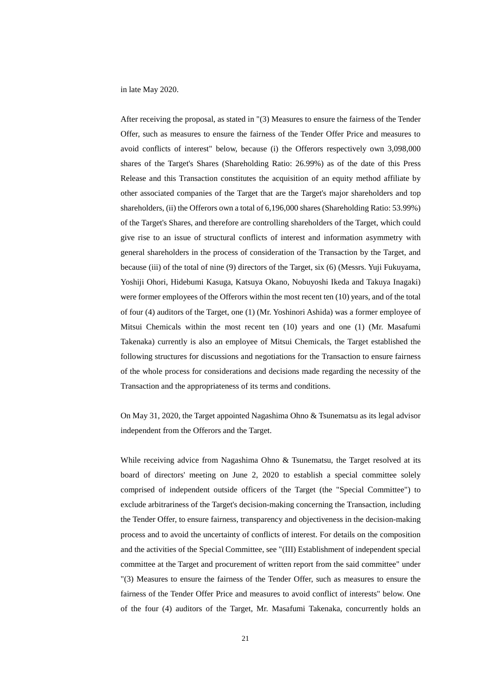in late May 2020.

After receiving the proposal, as stated in "(3) Measures to ensure the fairness of the Tender Offer, such as measures to ensure the fairness of the Tender Offer Price and measures to avoid conflicts of interest" below, because (i) the Offerors respectively own 3,098,000 shares of the Target's Shares (Shareholding Ratio: 26.99%) as of the date of this Press Release and this Transaction constitutes the acquisition of an equity method affiliate by other associated companies of the Target that are the Target's major shareholders and top shareholders, (ii) the Offerors own a total of 6,196,000 shares (Shareholding Ratio: 53.99%) of the Target's Shares, and therefore are controlling shareholders of the Target, which could give rise to an issue of structural conflicts of interest and information asymmetry with general shareholders in the process of consideration of the Transaction by the Target, and because (iii) of the total of nine (9) directors of the Target, six (6) (Messrs. Yuji Fukuyama, Yoshiji Ohori, Hidebumi Kasuga, Katsuya Okano, Nobuyoshi Ikeda and Takuya Inagaki) were former employees of the Offerors within the most recent ten (10) years, and of the total of four (4) auditors of the Target, one (1) (Mr. Yoshinori Ashida) was a former employee of Mitsui Chemicals within the most recent ten (10) years and one (1) (Mr. Masafumi Takenaka) currently is also an employee of Mitsui Chemicals, the Target established the following structures for discussions and negotiations for the Transaction to ensure fairness of the whole process for considerations and decisions made regarding the necessity of the Transaction and the appropriateness of its terms and conditions.

On May 31, 2020, the Target appointed Nagashima Ohno & Tsunematsu as its legal advisor independent from the Offerors and the Target.

While receiving advice from Nagashima Ohno & Tsunematsu, the Target resolved at its board of directors' meeting on June 2, 2020 to establish a special committee solely comprised of independent outside officers of the Target (the "Special Committee") to exclude arbitrariness of the Target's decision-making concerning the Transaction, including the Tender Offer, to ensure fairness, transparency and objectiveness in the decision-making process and to avoid the uncertainty of conflicts of interest. For details on the composition and the activities of the Special Committee, see "(III) Establishment of independent special committee at the Target and procurement of written report from the said committee" under "(3) Measures to ensure the fairness of the Tender Offer, such as measures to ensure the fairness of the Tender Offer Price and measures to avoid conflict of interests" below. One of the four (4) auditors of the Target, Mr. Masafumi Takenaka, concurrently holds an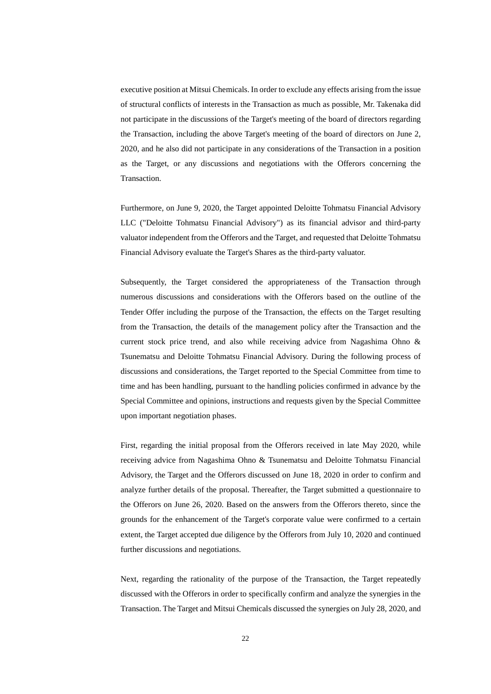executive position at Mitsui Chemicals. In order to exclude any effects arising from the issue of structural conflicts of interests in the Transaction as much as possible, Mr. Takenaka did not participate in the discussions of the Target's meeting of the board of directors regarding the Transaction, including the above Target's meeting of the board of directors on June 2, 2020, and he also did not participate in any considerations of the Transaction in a position as the Target, or any discussions and negotiations with the Offerors concerning the Transaction.

Furthermore, on June 9, 2020, the Target appointed Deloitte Tohmatsu Financial Advisory LLC ("Deloitte Tohmatsu Financial Advisory") as its financial advisor and third-party valuator independent from the Offerors and the Target, and requested that Deloitte Tohmatsu Financial Advisory evaluate the Target's Shares as the third-party valuator.

Subsequently, the Target considered the appropriateness of the Transaction through numerous discussions and considerations with the Offerors based on the outline of the Tender Offer including the purpose of the Transaction, the effects on the Target resulting from the Transaction, the details of the management policy after the Transaction and the current stock price trend, and also while receiving advice from Nagashima Ohno & Tsunematsu and Deloitte Tohmatsu Financial Advisory. During the following process of discussions and considerations, the Target reported to the Special Committee from time to time and has been handling, pursuant to the handling policies confirmed in advance by the Special Committee and opinions, instructions and requests given by the Special Committee upon important negotiation phases.

First, regarding the initial proposal from the Offerors received in late May 2020, while receiving advice from Nagashima Ohno & Tsunematsu and Deloitte Tohmatsu Financial Advisory, the Target and the Offerors discussed on June 18, 2020 in order to confirm and analyze further details of the proposal. Thereafter, the Target submitted a questionnaire to the Offerors on June 26, 2020. Based on the answers from the Offerors thereto, since the grounds for the enhancement of the Target's corporate value were confirmed to a certain extent, the Target accepted due diligence by the Offerors from July 10, 2020 and continued further discussions and negotiations.

Next, regarding the rationality of the purpose of the Transaction, the Target repeatedly discussed with the Offerors in order to specifically confirm and analyze the synergies in the Transaction. The Target and Mitsui Chemicals discussed the synergies on July 28, 2020, and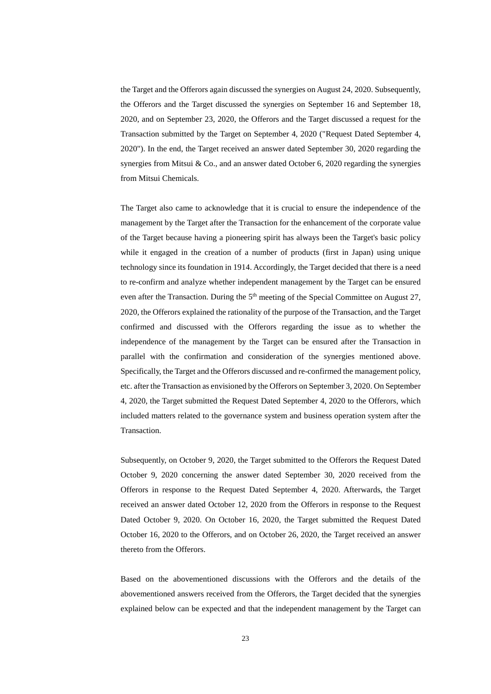the Target and the Offerors again discussed the synergies on August 24, 2020. Subsequently, the Offerors and the Target discussed the synergies on September 16 and September 18, 2020, and on September 23, 2020, the Offerors and the Target discussed a request for the Transaction submitted by the Target on September 4, 2020 ("Request Dated September 4, 2020"). In the end, the Target received an answer dated September 30, 2020 regarding the synergies from Mitsui & Co., and an answer dated October 6, 2020 regarding the synergies from Mitsui Chemicals.

The Target also came to acknowledge that it is crucial to ensure the independence of the management by the Target after the Transaction for the enhancement of the corporate value of the Target because having a pioneering spirit has always been the Target's basic policy while it engaged in the creation of a number of products (first in Japan) using unique technology since its foundation in 1914. Accordingly, the Target decided that there is a need to re-confirm and analyze whether independent management by the Target can be ensured even after the Transaction. During the  $5<sup>th</sup>$  meeting of the Special Committee on August 27, 2020, the Offerors explained the rationality of the purpose of the Transaction, and the Target confirmed and discussed with the Offerors regarding the issue as to whether the independence of the management by the Target can be ensured after the Transaction in parallel with the confirmation and consideration of the synergies mentioned above. Specifically, the Target and the Offerors discussed and re-confirmed the management policy, etc. after the Transaction as envisioned by the Offerors on September 3, 2020. On September 4, 2020, the Target submitted the Request Dated September 4, 2020 to the Offerors, which included matters related to the governance system and business operation system after the Transaction.

Subsequently, on October 9, 2020, the Target submitted to the Offerors the Request Dated October 9, 2020 concerning the answer dated September 30, 2020 received from the Offerors in response to the Request Dated September 4, 2020. Afterwards, the Target received an answer dated October 12, 2020 from the Offerors in response to the Request Dated October 9, 2020. On October 16, 2020, the Target submitted the Request Dated October 16, 2020 to the Offerors, and on October 26, 2020, the Target received an answer thereto from the Offerors.

Based on the abovementioned discussions with the Offerors and the details of the abovementioned answers received from the Offerors, the Target decided that the synergies explained below can be expected and that the independent management by the Target can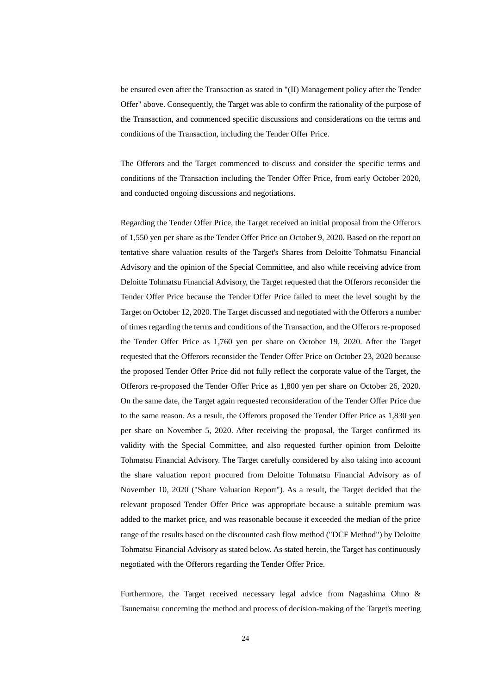be ensured even after the Transaction as stated in "(II) Management policy after the Tender Offer" above. Consequently, the Target was able to confirm the rationality of the purpose of the Transaction, and commenced specific discussions and considerations on the terms and conditions of the Transaction, including the Tender Offer Price.

The Offerors and the Target commenced to discuss and consider the specific terms and conditions of the Transaction including the Tender Offer Price, from early October 2020, and conducted ongoing discussions and negotiations.

Regarding the Tender Offer Price, the Target received an initial proposal from the Offerors of 1,550 yen per share as the Tender Offer Price on October 9, 2020. Based on the report on tentative share valuation results of the Target's Shares from Deloitte Tohmatsu Financial Advisory and the opinion of the Special Committee, and also while receiving advice from Deloitte Tohmatsu Financial Advisory, the Target requested that the Offerors reconsider the Tender Offer Price because the Tender Offer Price failed to meet the level sought by the Target on October 12, 2020. The Target discussed and negotiated with the Offerors a number of times regarding the terms and conditions of the Transaction, and the Offerors re-proposed the Tender Offer Price as 1,760 yen per share on October 19, 2020. After the Target requested that the Offerors reconsider the Tender Offer Price on October 23, 2020 because the proposed Tender Offer Price did not fully reflect the corporate value of the Target, the Offerors re-proposed the Tender Offer Price as 1,800 yen per share on October 26, 2020. On the same date, the Target again requested reconsideration of the Tender Offer Price due to the same reason. As a result, the Offerors proposed the Tender Offer Price as 1,830 yen per share on November 5, 2020. After receiving the proposal, the Target confirmed its validity with the Special Committee, and also requested further opinion from Deloitte Tohmatsu Financial Advisory. The Target carefully considered by also taking into account the share valuation report procured from Deloitte Tohmatsu Financial Advisory as of November 10, 2020 ("Share Valuation Report"). As a result, the Target decided that the relevant proposed Tender Offer Price was appropriate because a suitable premium was added to the market price, and was reasonable because it exceeded the median of the price range of the results based on the discounted cash flow method ("DCF Method") by Deloitte Tohmatsu Financial Advisory as stated below. As stated herein, the Target has continuously negotiated with the Offerors regarding the Tender Offer Price.

Furthermore, the Target received necessary legal advice from Nagashima Ohno & Tsunematsu concerning the method and process of decision-making of the Target's meeting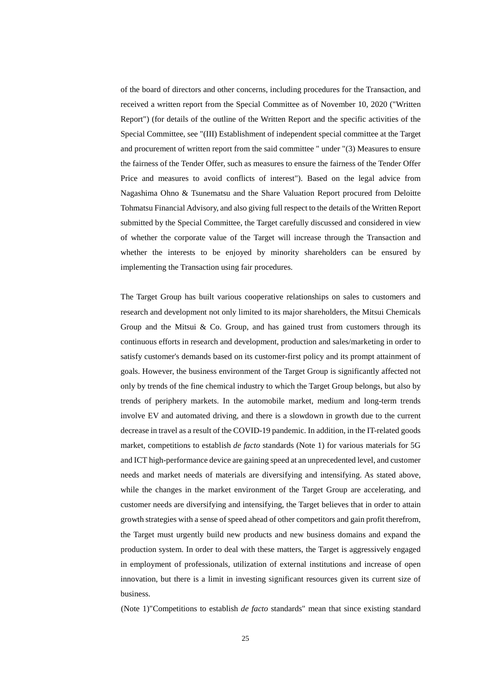of the board of directors and other concerns, including procedures for the Transaction, and received a written report from the Special Committee as of November 10, 2020 ("Written Report") (for details of the outline of the Written Report and the specific activities of the Special Committee, see "(III) Establishment of independent special committee at the Target and procurement of written report from the said committee " under "(3) Measures to ensure the fairness of the Tender Offer, such as measures to ensure the fairness of the Tender Offer Price and measures to avoid conflicts of interest"). Based on the legal advice from Nagashima Ohno & Tsunematsu and the Share Valuation Report procured from Deloitte Tohmatsu Financial Advisory, and also giving full respect to the details of the Written Report submitted by the Special Committee, the Target carefully discussed and considered in view of whether the corporate value of the Target will increase through the Transaction and whether the interests to be enjoyed by minority shareholders can be ensured by implementing the Transaction using fair procedures.

The Target Group has built various cooperative relationships on sales to customers and research and development not only limited to its major shareholders, the Mitsui Chemicals Group and the Mitsui  $\&$  Co. Group, and has gained trust from customers through its continuous efforts in research and development, production and sales/marketing in order to satisfy customer's demands based on its customer-first policy and its prompt attainment of goals. However, the business environment of the Target Group is significantly affected not only by trends of the fine chemical industry to which the Target Group belongs, but also by trends of periphery markets. In the automobile market, medium and long-term trends involve EV and automated driving, and there is a slowdown in growth due to the current decrease in travel as a result of the COVID-19 pandemic. In addition, in the IT-related goods market, competitions to establish *de facto* standards (Note 1) for various materials for 5G and ICT high-performance device are gaining speed at an unprecedented level, and customer needs and market needs of materials are diversifying and intensifying. As stated above, while the changes in the market environment of the Target Group are accelerating, and customer needs are diversifying and intensifying, the Target believes that in order to attain growth strategies with a sense of speed ahead of other competitors and gain profit therefrom, the Target must urgently build new products and new business domains and expand the production system. In order to deal with these matters, the Target is aggressively engaged in employment of professionals, utilization of external institutions and increase of open innovation, but there is a limit in investing significant resources given its current size of business.

(Note 1)"Competitions to establish *de facto* standards" mean that since existing standard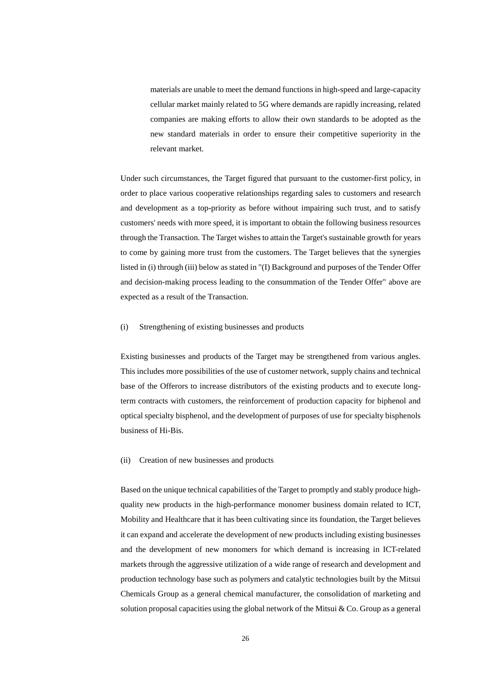materials are unable to meet the demand functions in high-speed and large-capacity cellular market mainly related to 5G where demands are rapidly increasing, related companies are making efforts to allow their own standards to be adopted as the new standard materials in order to ensure their competitive superiority in the relevant market.

Under such circumstances, the Target figured that pursuant to the customer-first policy, in order to place various cooperative relationships regarding sales to customers and research and development as a top-priority as before without impairing such trust, and to satisfy customers' needs with more speed, it is important to obtain the following business resources through the Transaction. The Target wishes to attain the Target's sustainable growth for years to come by gaining more trust from the customers. The Target believes that the synergies listed in (i) through (iii) below as stated in "(I) Background and purposes of the Tender Offer and decision-making process leading to the consummation of the Tender Offer" above are expected as a result of the Transaction.

# (i) Strengthening of existing businesses and products

Existing businesses and products of the Target may be strengthened from various angles. This includes more possibilities of the use of customer network, supply chains and technical base of the Offerors to increase distributors of the existing products and to execute longterm contracts with customers, the reinforcement of production capacity for biphenol and optical specialty bisphenol, and the development of purposes of use for specialty bisphenols business of Hi-Bis.

### (ii) Creation of new businesses and products

Based on the unique technical capabilities of the Target to promptly and stably produce highquality new products in the high-performance monomer business domain related to ICT, Mobility and Healthcare that it has been cultivating since its foundation, the Target believes it can expand and accelerate the development of new products including existing businesses and the development of new monomers for which demand is increasing in ICT-related markets through the aggressive utilization of a wide range of research and development and production technology base such as polymers and catalytic technologies built by the Mitsui Chemicals Group as a general chemical manufacturer, the consolidation of marketing and solution proposal capacities using the global network of the Mitsui  $& Co.$  Group as a general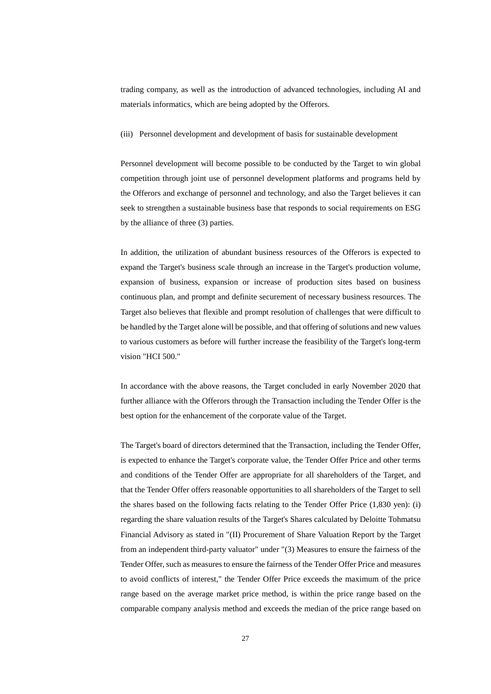trading company, as well as the introduction of advanced technologies, including AI and materials informatics, which are being adopted by the Offerors.

#### (iii) Personnel development and development of basis for sustainable development

Personnel development will become possible to be conducted by the Target to win global competition through joint use of personnel development platforms and programs held by the Offerors and exchange of personnel and technology, and also the Target believes it can seek to strengthen a sustainable business base that responds to social requirements on ESG by the alliance of three (3) parties.

In addition, the utilization of abundant business resources of the Offerors is expected to expand the Target's business scale through an increase in the Target's production volume, expansion of business, expansion or increase of production sites based on business continuous plan, and prompt and definite securement of necessary business resources. The Target also believes that flexible and prompt resolution of challenges that were difficult to be handled by the Target alone will be possible, and that offering of solutions and new values to various customers as before will further increase the feasibility of the Target's long-term vision "HCI 500."

In accordance with the above reasons, the Target concluded in early November 2020 that further alliance with the Offerors through the Transaction including the Tender Offer is the best option for the enhancement of the corporate value of the Target.

The Target's board of directors determined that the Transaction, including the Tender Offer, is expected to enhance the Target's corporate value, the Tender Offer Price and other terms and conditions of the Tender Offer are appropriate for all shareholders of the Target, and that the Tender Offer offers reasonable opportunities to all shareholders of the Target to sell the shares based on the following facts relating to the Tender Offer Price (1,830 yen): (i) regarding the share valuation results of the Target's Shares calculated by Deloitte Tohmatsu Financial Advisory as stated in "(II) Procurement of Share Valuation Report by the Target from an independent third-party valuator" under "(3) Measures to ensure the fairness of the Tender Offer, such as measures to ensure the fairness of the Tender Offer Price and measures to avoid conflicts of interest," the Tender Offer Price exceeds the maximum of the price range based on the average market price method, is within the price range based on the comparable company analysis method and exceeds the median of the price range based on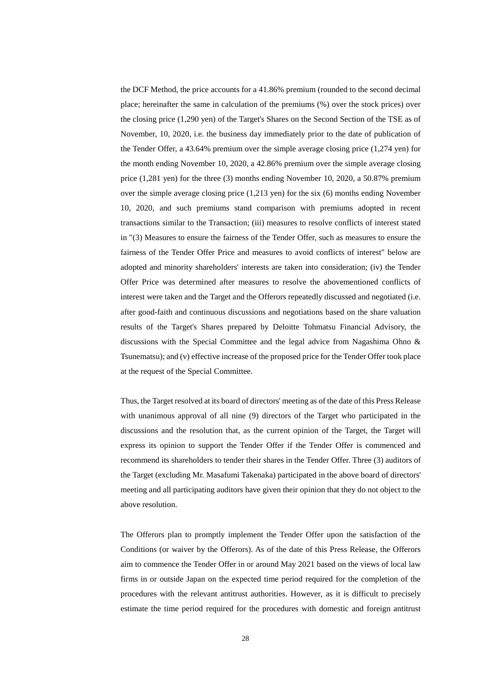the DCF Method, the price accounts for a 41.86% premium (rounded to the second decimal place; hereinafter the same in calculation of the premiums (%) over the stock prices) over the closing price (1,290 yen) of the Target's Shares on the Second Section of the TSE as of November, 10, 2020, i.e. the business day immediately prior to the date of publication of the Tender Offer, a 43.64% premium over the simple average closing price (1,274 yen) for the month ending November 10, 2020, a 42.86% premium over the simple average closing price (1,281 yen) for the three (3) months ending November 10, 2020, a 50.87% premium over the simple average closing price (1,213 yen) for the six (6) months ending November 10, 2020, and such premiums stand comparison with premiums adopted in recent transactions similar to the Transaction; (iii) measures to resolve conflicts of interest stated in "(3) Measures to ensure the fairness of the Tender Offer, such as measures to ensure the fairness of the Tender Offer Price and measures to avoid conflicts of interest" below are adopted and minority shareholders' interests are taken into consideration; (iv) the Tender Offer Price was determined after measures to resolve the abovementioned conflicts of interest were taken and the Target and the Offerors repeatedly discussed and negotiated (i.e. after good-faith and continuous discussions and negotiations based on the share valuation results of the Target's Shares prepared by Deloitte Tohmatsu Financial Advisory, the discussions with the Special Committee and the legal advice from Nagashima Ohno & Tsunematsu); and (v) effective increase of the proposed price for the Tender Offer took place at the request of the Special Committee.

Thus, the Target resolved at its board of directors' meeting as of the date of this Press Release with unanimous approval of all nine (9) directors of the Target who participated in the discussions and the resolution that, as the current opinion of the Target, the Target will express its opinion to support the Tender Offer if the Tender Offer is commenced and recommend its shareholders to tender their shares in the Tender Offer. Three (3) auditors of the Target (excluding Mr. Masafumi Takenaka) participated in the above board of directors' meeting and all participating auditors have given their opinion that they do not object to the above resolution.

The Offerors plan to promptly implement the Tender Offer upon the satisfaction of the Conditions (or waiver by the Offerors). As of the date of this Press Release, the Offerors aim to commence the Tender Offer in or around May 2021 based on the views of local law firms in or outside Japan on the expected time period required for the completion of the procedures with the relevant antitrust authorities. However, as it is difficult to precisely estimate the time period required for the procedures with domestic and foreign antitrust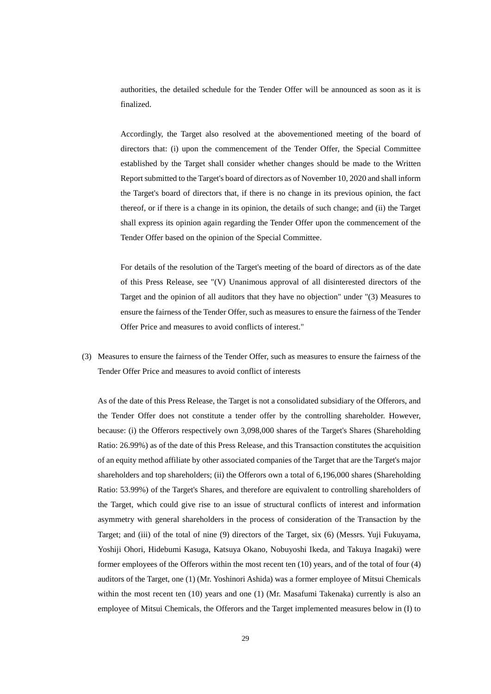authorities, the detailed schedule for the Tender Offer will be announced as soon as it is finalized.

Accordingly, the Target also resolved at the abovementioned meeting of the board of directors that: (i) upon the commencement of the Tender Offer, the Special Committee established by the Target shall consider whether changes should be made to the Written Report submitted to the Target's board of directors as of November 10, 2020 and shall inform the Target's board of directors that, if there is no change in its previous opinion, the fact thereof, or if there is a change in its opinion, the details of such change; and (ii) the Target shall express its opinion again regarding the Tender Offer upon the commencement of the Tender Offer based on the opinion of the Special Committee.

For details of the resolution of the Target's meeting of the board of directors as of the date of this Press Release, see "(V) Unanimous approval of all disinterested directors of the Target and the opinion of all auditors that they have no objection" under "(3) Measures to ensure the fairness of the Tender Offer, such as measures to ensure the fairness of the Tender Offer Price and measures to avoid conflicts of interest."

(3) Measures to ensure the fairness of the Tender Offer, such as measures to ensure the fairness of the Tender Offer Price and measures to avoid conflict of interests

As of the date of this Press Release, the Target is not a consolidated subsidiary of the Offerors, and the Tender Offer does not constitute a tender offer by the controlling shareholder. However, because: (i) the Offerors respectively own 3,098,000 shares of the Target's Shares (Shareholding Ratio: 26.99%) as of the date of this Press Release, and this Transaction constitutes the acquisition of an equity method affiliate by other associated companies of the Target that are the Target's major shareholders and top shareholders; (ii) the Offerors own a total of 6,196,000 shares (Shareholding Ratio: 53.99%) of the Target's Shares, and therefore are equivalent to controlling shareholders of the Target, which could give rise to an issue of structural conflicts of interest and information asymmetry with general shareholders in the process of consideration of the Transaction by the Target; and (iii) of the total of nine (9) directors of the Target, six (6) (Messrs. Yuji Fukuyama, Yoshiji Ohori, Hidebumi Kasuga, Katsuya Okano, Nobuyoshi Ikeda, and Takuya Inagaki) were former employees of the Offerors within the most recent ten (10) years, and of the total of four (4) auditors of the Target, one (1) (Mr. Yoshinori Ashida) was a former employee of Mitsui Chemicals within the most recent ten (10) years and one (1) (Mr. Masafumi Takenaka) currently is also an employee of Mitsui Chemicals, the Offerors and the Target implemented measures below in (I) to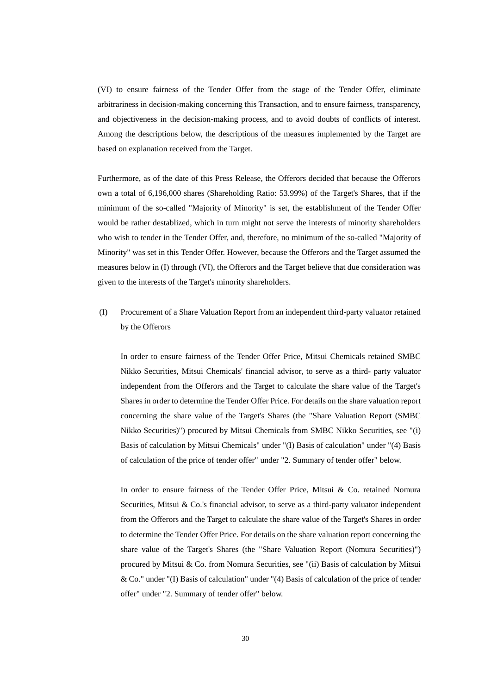(VI) to ensure fairness of the Tender Offer from the stage of the Tender Offer, eliminate arbitrariness in decision-making concerning this Transaction, and to ensure fairness, transparency, and objectiveness in the decision-making process, and to avoid doubts of conflicts of interest. Among the descriptions below, the descriptions of the measures implemented by the Target are based on explanation received from the Target.

Furthermore, as of the date of this Press Release, the Offerors decided that because the Offerors own a total of 6,196,000 shares (Shareholding Ratio: 53.99%) of the Target's Shares, that if the minimum of the so-called "Majority of Minority" is set, the establishment of the Tender Offer would be rather destablized, which in turn might not serve the interests of minority shareholders who wish to tender in the Tender Offer, and, therefore, no minimum of the so-called "Majority of Minority" was set in this Tender Offer. However, because the Offerors and the Target assumed the measures below in (I) through (VI), the Offerors and the Target believe that due consideration was given to the interests of the Target's minority shareholders.

(I) Procurement of a Share Valuation Report from an independent third-party valuator retained by the Offerors

In order to ensure fairness of the Tender Offer Price, Mitsui Chemicals retained SMBC Nikko Securities, Mitsui Chemicals' financial advisor, to serve as a third- party valuator independent from the Offerors and the Target to calculate the share value of the Target's Shares in order to determine the Tender Offer Price. For details on the share valuation report concerning the share value of the Target's Shares (the "Share Valuation Report (SMBC Nikko Securities)") procured by Mitsui Chemicals from SMBC Nikko Securities, see "(i) Basis of calculation by Mitsui Chemicals" under "(I) Basis of calculation" under "(4) Basis of calculation of the price of tender offer" under "2. Summary of tender offer" below.

In order to ensure fairness of the Tender Offer Price, Mitsui & Co. retained Nomura Securities, Mitsui & Co.'s financial advisor, to serve as a third-party valuator independent from the Offerors and the Target to calculate the share value of the Target's Shares in order to determine the Tender Offer Price. For details on the share valuation report concerning the share value of the Target's Shares (the "Share Valuation Report (Nomura Securities)") procured by Mitsui & Co. from Nomura Securities, see "(ii) Basis of calculation by Mitsui & Co." under "(I) Basis of calculation" under "(4) Basis of calculation of the price of tender offer" under "2. Summary of tender offer" below.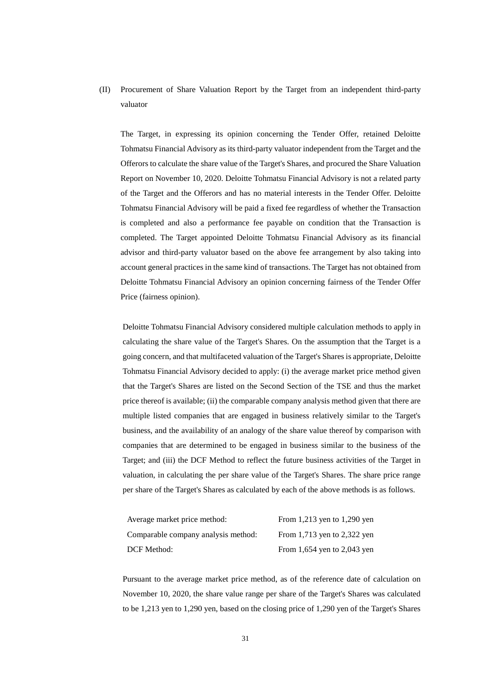(II) Procurement of Share Valuation Report by the Target from an independent third-party valuator

The Target, in expressing its opinion concerning the Tender Offer, retained Deloitte Tohmatsu Financial Advisory as its third-party valuator independent from the Target and the Offerors to calculate the share value of the Target's Shares, and procured the Share Valuation Report on November 10, 2020. Deloitte Tohmatsu Financial Advisory is not a related party of the Target and the Offerors and has no material interests in the Tender Offer. Deloitte Tohmatsu Financial Advisory will be paid a fixed fee regardless of whether the Transaction is completed and also a performance fee payable on condition that the Transaction is completed. The Target appointed Deloitte Tohmatsu Financial Advisory as its financial advisor and third-party valuator based on the above fee arrangement by also taking into account general practices in the same kind of transactions. The Target has not obtained from Deloitte Tohmatsu Financial Advisory an opinion concerning fairness of the Tender Offer Price (fairness opinion).

Deloitte Tohmatsu Financial Advisory considered multiple calculation methods to apply in calculating the share value of the Target's Shares. On the assumption that the Target is a going concern, and that multifaceted valuation of the Target's Shares is appropriate, Deloitte Tohmatsu Financial Advisory decided to apply: (i) the average market price method given that the Target's Shares are listed on the Second Section of the TSE and thus the market price thereof is available; (ii) the comparable company analysis method given that there are multiple listed companies that are engaged in business relatively similar to the Target's business, and the availability of an analogy of the share value thereof by comparison with companies that are determined to be engaged in business similar to the business of the Target; and (iii) the DCF Method to reflect the future business activities of the Target in valuation, in calculating the per share value of the Target's Shares. The share price range per share of the Target's Shares as calculated by each of the above methods is as follows.

| Average market price method:        | From 1,213 yen to 1,290 yen |
|-------------------------------------|-----------------------------|
| Comparable company analysis method: | From 1,713 yen to 2,322 yen |
| <b>DCF</b> Method:                  | From 1,654 yen to 2,043 yen |

Pursuant to the average market price method, as of the reference date of calculation on November 10, 2020, the share value range per share of the Target's Shares was calculated to be 1,213 yen to 1,290 yen, based on the closing price of 1,290 yen of the Target's Shares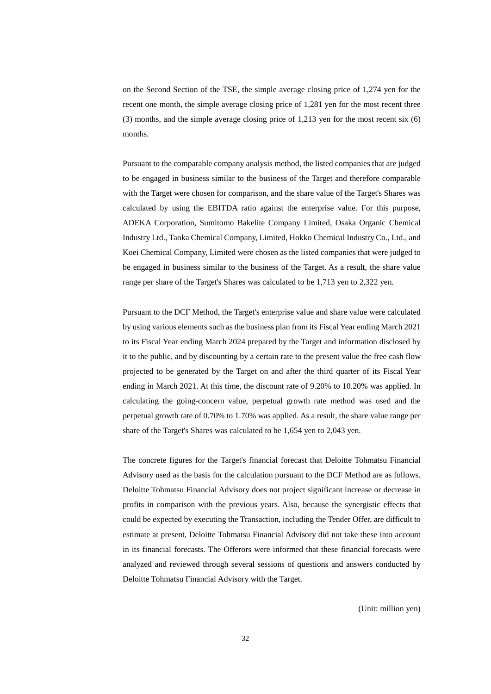on the Second Section of the TSE, the simple average closing price of 1,274 yen for the recent one month, the simple average closing price of 1,281 yen for the most recent three (3) months, and the simple average closing price of 1,213 yen for the most recent six (6) months.

Pursuant to the comparable company analysis method, the listed companies that are judged to be engaged in business similar to the business of the Target and therefore comparable with the Target were chosen for comparison, and the share value of the Target's Shares was calculated by using the EBITDA ratio against the enterprise value. For this purpose, ADEKA Corporation, Sumitomo Bakelite Company Limited, Osaka Organic Chemical Industry Ltd., Taoka Chemical Company, Limited, Hokko Chemical Industry Co., Ltd., and Koei Chemical Company, Limited were chosen as the listed companies that were judged to be engaged in business similar to the business of the Target. As a result, the share value range per share of the Target's Shares was calculated to be 1,713 yen to 2,322 yen.

Pursuant to the DCF Method, the Target's enterprise value and share value were calculated by using various elements such as the business plan from its Fiscal Year ending March 2021 to its Fiscal Year ending March 2024 prepared by the Target and information disclosed by it to the public, and by discounting by a certain rate to the present value the free cash flow projected to be generated by the Target on and after the third quarter of its Fiscal Year ending in March 2021. At this time, the discount rate of 9.20% to 10.20% was applied. In calculating the going-concern value, perpetual growth rate method was used and the perpetual growth rate of 0.70% to 1.70% was applied. As a result, the share value range per share of the Target's Shares was calculated to be 1,654 yen to 2,043 yen.

The concrete figures for the Target's financial forecast that Deloitte Tohmatsu Financial Advisory used as the basis for the calculation pursuant to the DCF Method are as follows. Deloitte Tohmatsu Financial Advisory does not project significant increase or decrease in profits in comparison with the previous years. Also, because the synergistic effects that could be expected by executing the Transaction, including the Tender Offer, are difficult to estimate at present, Deloitte Tohmatsu Financial Advisory did not take these into account in its financial forecasts. The Offerors were informed that these financial forecasts were analyzed and reviewed through several sessions of questions and answers conducted by Deloitte Tohmatsu Financial Advisory with the Target.

(Unit: million yen)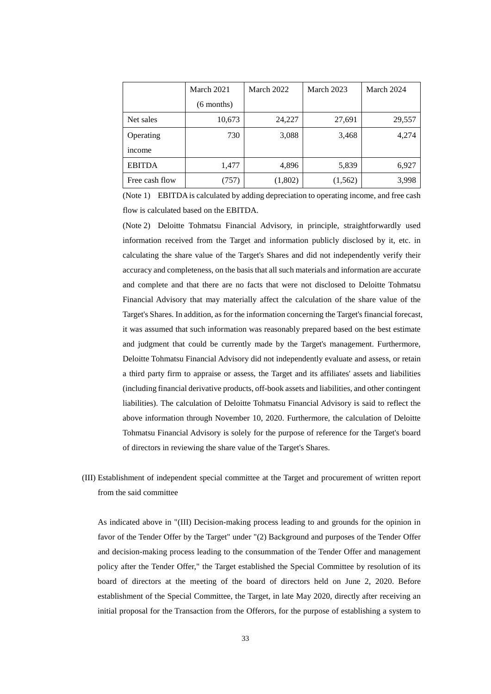|                | March 2021   | March 2022 | March 2023 | March 2024 |
|----------------|--------------|------------|------------|------------|
|                | $(6$ months) |            |            |            |
| Net sales      | 10,673       | 24,227     | 27,691     | 29,557     |
| Operating      | 730          | 3,088      | 3,468      | 4,274      |
| income         |              |            |            |            |
| <b>EBITDA</b>  | 1,477        | 4,896      | 5,839      | 6,927      |
| Free cash flow | (757)        | (1,802)    | (1, 562)   | 3,998      |

(Note 1) EBITDA is calculated by adding depreciation to operating income, and free cash flow is calculated based on the EBITDA.

(Note 2) Deloitte Tohmatsu Financial Advisory, in principle, straightforwardly used information received from the Target and information publicly disclosed by it, etc. in calculating the share value of the Target's Shares and did not independently verify their accuracy and completeness, on the basis that all such materials and information are accurate and complete and that there are no facts that were not disclosed to Deloitte Tohmatsu Financial Advisory that may materially affect the calculation of the share value of the Target's Shares. In addition, as for the information concerning the Target's financial forecast, it was assumed that such information was reasonably prepared based on the best estimate and judgment that could be currently made by the Target's management. Furthermore, Deloitte Tohmatsu Financial Advisory did not independently evaluate and assess, or retain a third party firm to appraise or assess, the Target and its affiliates' assets and liabilities (including financial derivative products, off-book assets and liabilities, and other contingent liabilities). The calculation of Deloitte Tohmatsu Financial Advisory is said to reflect the above information through November 10, 2020. Furthermore, the calculation of Deloitte Tohmatsu Financial Advisory is solely for the purpose of reference for the Target's board of directors in reviewing the share value of the Target's Shares.

(III) Establishment of independent special committee at the Target and procurement of written report from the said committee

As indicated above in "(III) Decision-making process leading to and grounds for the opinion in favor of the Tender Offer by the Target" under "(2) Background and purposes of the Tender Offer and decision-making process leading to the consummation of the Tender Offer and management policy after the Tender Offer," the Target established the Special Committee by resolution of its board of directors at the meeting of the board of directors held on June 2, 2020. Before establishment of the Special Committee, the Target, in late May 2020, directly after receiving an initial proposal for the Transaction from the Offerors, for the purpose of establishing a system to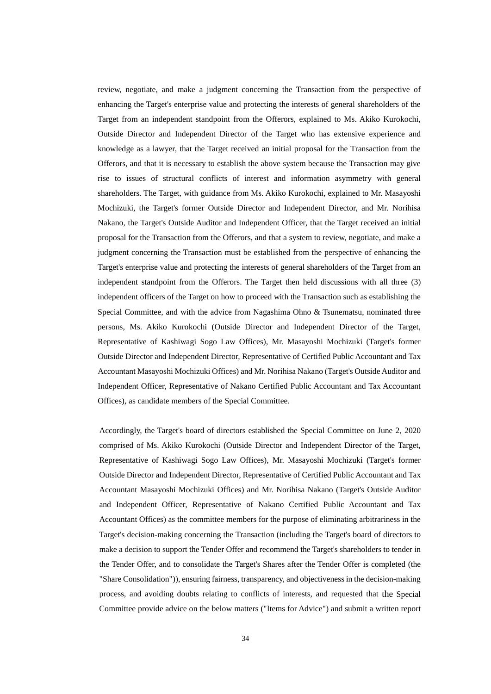review, negotiate, and make a judgment concerning the Transaction from the perspective of enhancing the Target's enterprise value and protecting the interests of general shareholders of the Target from an independent standpoint from the Offerors, explained to Ms. Akiko Kurokochi, Outside Director and Independent Director of the Target who has extensive experience and knowledge as a lawyer, that the Target received an initial proposal for the Transaction from the Offerors, and that it is necessary to establish the above system because the Transaction may give rise to issues of structural conflicts of interest and information asymmetry with general shareholders. The Target, with guidance from Ms. Akiko Kurokochi, explained to Mr. Masayoshi Mochizuki, the Target's former Outside Director and Independent Director, and Mr. Norihisa Nakano, the Target's Outside Auditor and Independent Officer, that the Target received an initial proposal for the Transaction from the Offerors, and that a system to review, negotiate, and make a judgment concerning the Transaction must be established from the perspective of enhancing the Target's enterprise value and protecting the interests of general shareholders of the Target from an independent standpoint from the Offerors. The Target then held discussions with all three (3) independent officers of the Target on how to proceed with the Transaction such as establishing the Special Committee, and with the advice from Nagashima Ohno & Tsunematsu, nominated three persons, Ms. Akiko Kurokochi (Outside Director and Independent Director of the Target, Representative of Kashiwagi Sogo Law Offices), Mr. Masayoshi Mochizuki (Target's former Outside Director and Independent Director, Representative of Certified Public Accountant and Tax Accountant Masayoshi Mochizuki Offices) and Mr. Norihisa Nakano (Target's Outside Auditor and Independent Officer, Representative of Nakano Certified Public Accountant and Tax Accountant Offices), as candidate members of the Special Committee.

Accordingly, the Target's board of directors established the Special Committee on June 2, 2020 comprised of Ms. Akiko Kurokochi (Outside Director and Independent Director of the Target, Representative of Kashiwagi Sogo Law Offices), Mr. Masayoshi Mochizuki (Target's former Outside Director and Independent Director, Representative of Certified Public Accountant and Tax Accountant Masayoshi Mochizuki Offices) and Mr. Norihisa Nakano (Target's Outside Auditor and Independent Officer, Representative of Nakano Certified Public Accountant and Tax Accountant Offices) as the committee members for the purpose of eliminating arbitrariness in the Target's decision-making concerning the Transaction (including the Target's board of directors to make a decision to support the Tender Offer and recommend the Target's shareholders to tender in the Tender Offer, and to consolidate the Target's Shares after the Tender Offer is completed (the "Share Consolidation")), ensuring fairness, transparency, and objectiveness in the decision-making process, and avoiding doubts relating to conflicts of interests, and requested that the Special Committee provide advice on the below matters ("Items for Advice") and submit a written report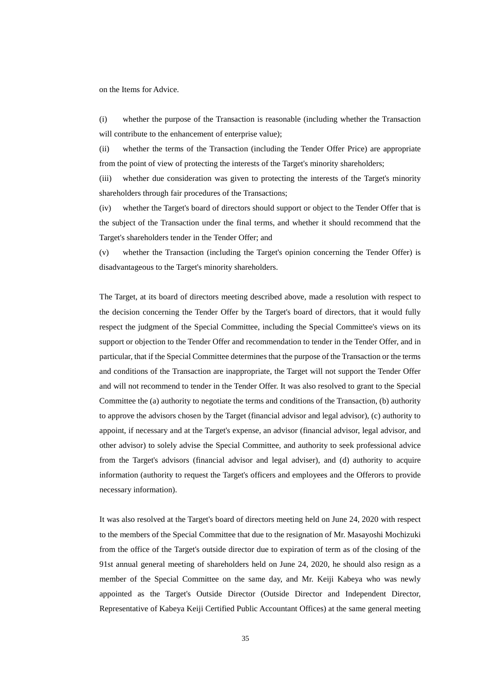on the Items for Advice.

(i) whether the purpose of the Transaction is reasonable (including whether the Transaction will contribute to the enhancement of enterprise value);

(ii) whether the terms of the Transaction (including the Tender Offer Price) are appropriate from the point of view of protecting the interests of the Target's minority shareholders;

(iii) whether due consideration was given to protecting the interests of the Target's minority shareholders through fair procedures of the Transactions;

(iv) whether the Target's board of directors should support or object to the Tender Offer that is the subject of the Transaction under the final terms, and whether it should recommend that the Target's shareholders tender in the Tender Offer; and

(v) whether the Transaction (including the Target's opinion concerning the Tender Offer) is disadvantageous to the Target's minority shareholders.

The Target, at its board of directors meeting described above, made a resolution with respect to the decision concerning the Tender Offer by the Target's board of directors, that it would fully respect the judgment of the Special Committee, including the Special Committee's views on its support or objection to the Tender Offer and recommendation to tender in the Tender Offer, and in particular, that if the Special Committee determines that the purpose of the Transaction or the terms and conditions of the Transaction are inappropriate, the Target will not support the Tender Offer and will not recommend to tender in the Tender Offer. It was also resolved to grant to the Special Committee the (a) authority to negotiate the terms and conditions of the Transaction, (b) authority to approve the advisors chosen by the Target (financial advisor and legal advisor), (c) authority to appoint, if necessary and at the Target's expense, an advisor (financial advisor, legal advisor, and other advisor) to solely advise the Special Committee, and authority to seek professional advice from the Target's advisors (financial advisor and legal adviser), and (d) authority to acquire information (authority to request the Target's officers and employees and the Offerors to provide necessary information).

It was also resolved at the Target's board of directors meeting held on June 24, 2020 with respect to the members of the Special Committee that due to the resignation of Mr. Masayoshi Mochizuki from the office of the Target's outside director due to expiration of term as of the closing of the 91st annual general meeting of shareholders held on June 24, 2020, he should also resign as a member of the Special Committee on the same day, and Mr. Keiji Kabeya who was newly appointed as the Target's Outside Director (Outside Director and Independent Director, Representative of Kabeya Keiji Certified Public Accountant Offices) at the same general meeting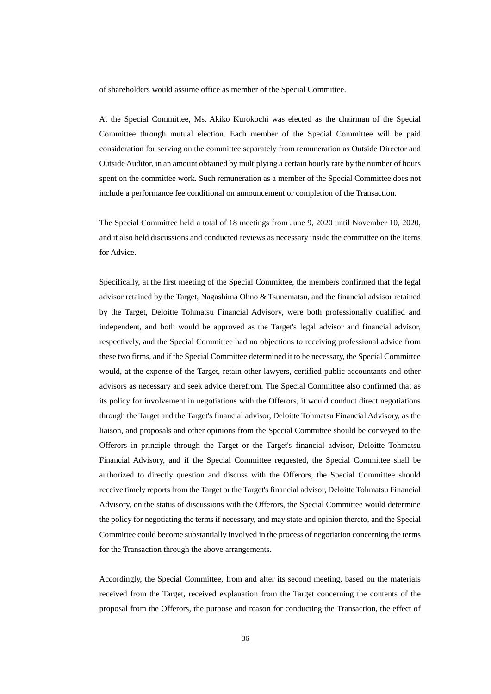of shareholders would assume office as member of the Special Committee.

At the Special Committee, Ms. Akiko Kurokochi was elected as the chairman of the Special Committee through mutual election. Each member of the Special Committee will be paid consideration for serving on the committee separately from remuneration as Outside Director and Outside Auditor, in an amount obtained by multiplying a certain hourly rate by the number of hours spent on the committee work. Such remuneration as a member of the Special Committee does not include a performance fee conditional on announcement or completion of the Transaction.

The Special Committee held a total of 18 meetings from June 9, 2020 until November 10, 2020, and it also held discussions and conducted reviews as necessary inside the committee on the Items for Advice.

Specifically, at the first meeting of the Special Committee, the members confirmed that the legal advisor retained by the Target, Nagashima Ohno & Tsunematsu, and the financial advisor retained by the Target, Deloitte Tohmatsu Financial Advisory, were both professionally qualified and independent, and both would be approved as the Target's legal advisor and financial advisor, respectively, and the Special Committee had no objections to receiving professional advice from these two firms, and if the Special Committee determined it to be necessary, the Special Committee would, at the expense of the Target, retain other lawyers, certified public accountants and other advisors as necessary and seek advice therefrom. The Special Committee also confirmed that as its policy for involvement in negotiations with the Offerors, it would conduct direct negotiations through the Target and the Target's financial advisor, Deloitte Tohmatsu Financial Advisory, as the liaison, and proposals and other opinions from the Special Committee should be conveyed to the Offerors in principle through the Target or the Target's financial advisor, Deloitte Tohmatsu Financial Advisory, and if the Special Committee requested, the Special Committee shall be authorized to directly question and discuss with the Offerors, the Special Committee should receive timely reports from the Target or the Target's financial advisor, Deloitte Tohmatsu Financial Advisory, on the status of discussions with the Offerors, the Special Committee would determine the policy for negotiating the terms if necessary, and may state and opinion thereto, and the Special Committee could become substantially involved in the process of negotiation concerning the terms for the Transaction through the above arrangements.

Accordingly, the Special Committee, from and after its second meeting, based on the materials received from the Target, received explanation from the Target concerning the contents of the proposal from the Offerors, the purpose and reason for conducting the Transaction, the effect of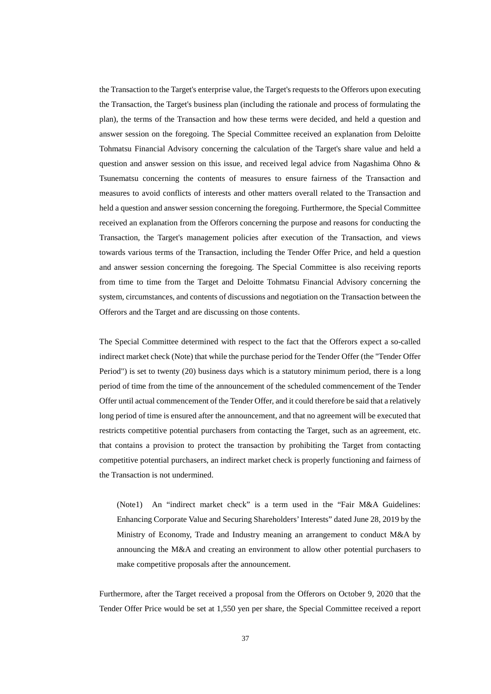the Transaction to the Target's enterprise value, the Target's requests to the Offerors upon executing the Transaction, the Target's business plan (including the rationale and process of formulating the plan), the terms of the Transaction and how these terms were decided, and held a question and answer session on the foregoing. The Special Committee received an explanation from Deloitte Tohmatsu Financial Advisory concerning the calculation of the Target's share value and held a question and answer session on this issue, and received legal advice from Nagashima Ohno  $\&$ Tsunematsu concerning the contents of measures to ensure fairness of the Transaction and measures to avoid conflicts of interests and other matters overall related to the Transaction and held a question and answer session concerning the foregoing. Furthermore, the Special Committee received an explanation from the Offerors concerning the purpose and reasons for conducting the Transaction, the Target's management policies after execution of the Transaction, and views towards various terms of the Transaction, including the Tender Offer Price, and held a question and answer session concerning the foregoing. The Special Committee is also receiving reports from time to time from the Target and Deloitte Tohmatsu Financial Advisory concerning the system, circumstances, and contents of discussions and negotiation on the Transaction between the Offerors and the Target and are discussing on those contents.

The Special Committee determined with respect to the fact that the Offerors expect a so-called indirect market check (Note) that while the purchase period for the Tender Offer (the "Tender Offer Period") is set to twenty (20) business days which is a statutory minimum period, there is a long period of time from the time of the announcement of the scheduled commencement of the Tender Offer until actual commencement of the Tender Offer, and it could therefore be said that a relatively long period of time is ensured after the announcement, and that no agreement will be executed that restricts competitive potential purchasers from contacting the Target, such as an agreement, etc. that contains a provision to protect the transaction by prohibiting the Target from contacting competitive potential purchasers, an indirect market check is properly functioning and fairness of the Transaction is not undermined.

(Note1) An "indirect market check" is a term used in the "Fair M&A Guidelines: Enhancing Corporate Value and Securing Shareholders' Interests" dated June 28, 2019 by the Ministry of Economy, Trade and Industry meaning an arrangement to conduct M&A by announcing the M&A and creating an environment to allow other potential purchasers to make competitive proposals after the announcement.

Furthermore, after the Target received a proposal from the Offerors on October 9, 2020 that the Tender Offer Price would be set at 1,550 yen per share, the Special Committee received a report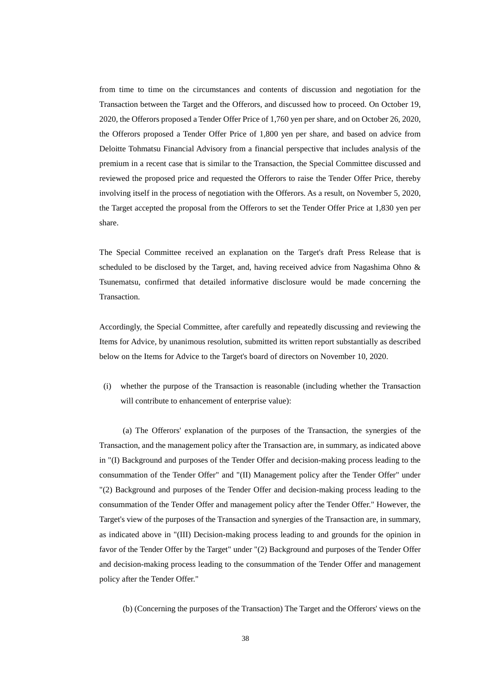from time to time on the circumstances and contents of discussion and negotiation for the Transaction between the Target and the Offerors, and discussed how to proceed. On October 19, 2020, the Offerors proposed a Tender Offer Price of 1,760 yen per share, and on October 26, 2020, the Offerors proposed a Tender Offer Price of 1,800 yen per share, and based on advice from Deloitte Tohmatsu Financial Advisory from a financial perspective that includes analysis of the premium in a recent case that is similar to the Transaction, the Special Committee discussed and reviewed the proposed price and requested the Offerors to raise the Tender Offer Price, thereby involving itself in the process of negotiation with the Offerors. As a result, on November 5, 2020, the Target accepted the proposal from the Offerors to set the Tender Offer Price at 1,830 yen per share.

The Special Committee received an explanation on the Target's draft Press Release that is scheduled to be disclosed by the Target, and, having received advice from Nagashima Ohno & Tsunematsu, confirmed that detailed informative disclosure would be made concerning the Transaction.

Accordingly, the Special Committee, after carefully and repeatedly discussing and reviewing the Items for Advice, by unanimous resolution, submitted its written report substantially as described below on the Items for Advice to the Target's board of directors on November 10, 2020.

(i) whether the purpose of the Transaction is reasonable (including whether the Transaction will contribute to enhancement of enterprise value):

(a) The Offerors' explanation of the purposes of the Transaction, the synergies of the Transaction, and the management policy after the Transaction are, in summary, as indicated above in "(I) Background and purposes of the Tender Offer and decision-making process leading to the consummation of the Tender Offer" and "(II) Management policy after the Tender Offer" under "(2) Background and purposes of the Tender Offer and decision-making process leading to the consummation of the Tender Offer and management policy after the Tender Offer." However, the Target's view of the purposes of the Transaction and synergies of the Transaction are, in summary, as indicated above in "(III) Decision-making process leading to and grounds for the opinion in favor of the Tender Offer by the Target" under "(2) Background and purposes of the Tender Offer and decision-making process leading to the consummation of the Tender Offer and management policy after the Tender Offer."

(b) (Concerning the purposes of the Transaction) The Target and the Offerors' views on the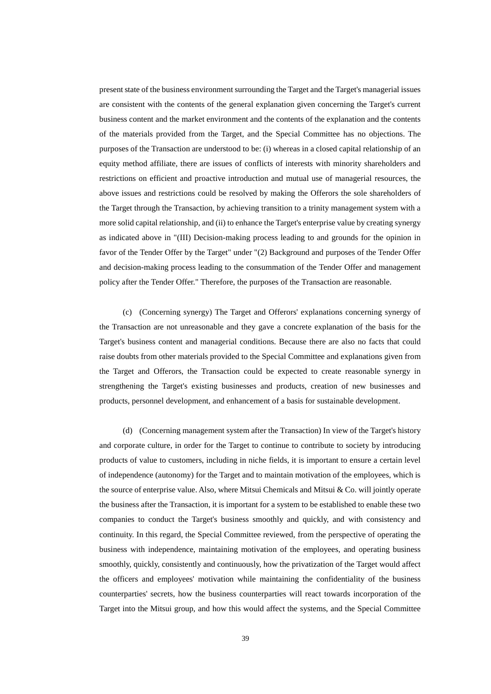present state of the business environment surrounding the Target and the Target's managerial issues are consistent with the contents of the general explanation given concerning the Target's current business content and the market environment and the contents of the explanation and the contents of the materials provided from the Target, and the Special Committee has no objections. The purposes of the Transaction are understood to be: (i) whereas in a closed capital relationship of an equity method affiliate, there are issues of conflicts of interests with minority shareholders and restrictions on efficient and proactive introduction and mutual use of managerial resources, the above issues and restrictions could be resolved by making the Offerors the sole shareholders of the Target through the Transaction, by achieving transition to a trinity management system with a more solid capital relationship, and (ii) to enhance the Target's enterprise value by creating synergy as indicated above in "(III) Decision-making process leading to and grounds for the opinion in favor of the Tender Offer by the Target" under "(2) Background and purposes of the Tender Offer and decision-making process leading to the consummation of the Tender Offer and management policy after the Tender Offer." Therefore, the purposes of the Transaction are reasonable.

(c) (Concerning synergy) The Target and Offerors' explanations concerning synergy of the Transaction are not unreasonable and they gave a concrete explanation of the basis for the Target's business content and managerial conditions. Because there are also no facts that could raise doubts from other materials provided to the Special Committee and explanations given from the Target and Offerors, the Transaction could be expected to create reasonable synergy in strengthening the Target's existing businesses and products, creation of new businesses and products, personnel development, and enhancement of a basis for sustainable development.

(d) (Concerning management system after the Transaction) In view of the Target's history and corporate culture, in order for the Target to continue to contribute to society by introducing products of value to customers, including in niche fields, it is important to ensure a certain level of independence (autonomy) for the Target and to maintain motivation of the employees, which is the source of enterprise value. Also, where Mitsui Chemicals and Mitsui & Co. will jointly operate the business after the Transaction, it is important for a system to be established to enable these two companies to conduct the Target's business smoothly and quickly, and with consistency and continuity. In this regard, the Special Committee reviewed, from the perspective of operating the business with independence, maintaining motivation of the employees, and operating business smoothly, quickly, consistently and continuously, how the privatization of the Target would affect the officers and employees' motivation while maintaining the confidentiality of the business counterparties' secrets, how the business counterparties will react towards incorporation of the Target into the Mitsui group, and how this would affect the systems, and the Special Committee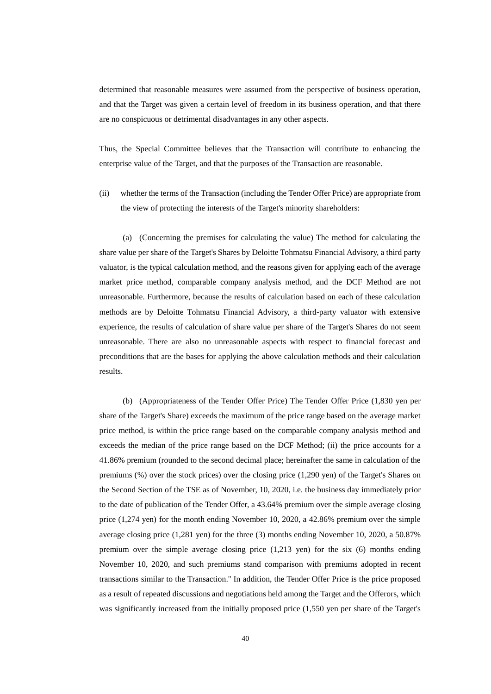determined that reasonable measures were assumed from the perspective of business operation, and that the Target was given a certain level of freedom in its business operation, and that there are no conspicuous or detrimental disadvantages in any other aspects.

Thus, the Special Committee believes that the Transaction will contribute to enhancing the enterprise value of the Target, and that the purposes of the Transaction are reasonable.

(ii) whether the terms of the Transaction (including the Tender Offer Price) are appropriate from the view of protecting the interests of the Target's minority shareholders:

(a) (Concerning the premises for calculating the value) The method for calculating the share value per share of the Target's Shares by Deloitte Tohmatsu Financial Advisory, a third party valuator, is the typical calculation method, and the reasons given for applying each of the average market price method, comparable company analysis method, and the DCF Method are not unreasonable. Furthermore, because the results of calculation based on each of these calculation methods are by Deloitte Tohmatsu Financial Advisory, a third-party valuator with extensive experience, the results of calculation of share value per share of the Target's Shares do not seem unreasonable. There are also no unreasonable aspects with respect to financial forecast and preconditions that are the bases for applying the above calculation methods and their calculation results.

(b) (Appropriateness of the Tender Offer Price) The Tender Offer Price (1,830 yen per share of the Target's Share) exceeds the maximum of the price range based on the average market price method, is within the price range based on the comparable company analysis method and exceeds the median of the price range based on the DCF Method; (ii) the price accounts for a 41.86% premium (rounded to the second decimal place; hereinafter the same in calculation of the premiums (%) over the stock prices) over the closing price (1,290 yen) of the Target's Shares on the Second Section of the TSE as of November, 10, 2020, i.e. the business day immediately prior to the date of publication of the Tender Offer, a 43.64% premium over the simple average closing price (1,274 yen) for the month ending November 10, 2020, a 42.86% premium over the simple average closing price (1,281 yen) for the three (3) months ending November 10, 2020, a 50.87% premium over the simple average closing price  $(1,213 \text{ yen})$  for the six  $(6)$  months ending November 10, 2020, and such premiums stand comparison with premiums adopted in recent transactions similar to the Transaction.'' In addition, the Tender Offer Price is the price proposed as a result of repeated discussions and negotiations held among the Target and the Offerors, which was significantly increased from the initially proposed price (1,550 yen per share of the Target's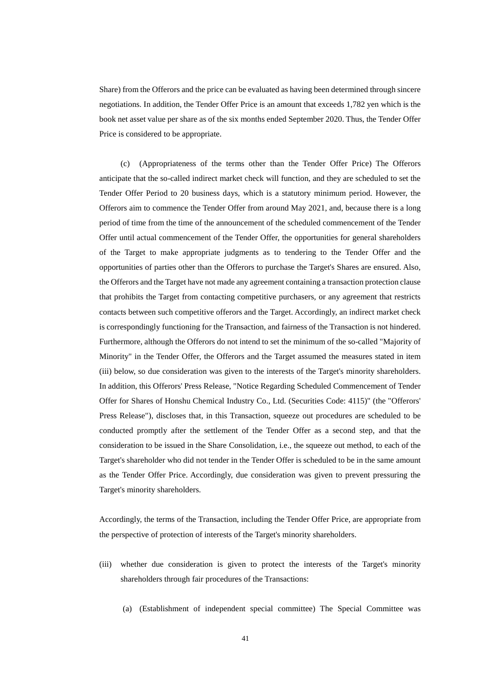Share) from the Offerors and the price can be evaluated as having been determined through sincere negotiations. In addition, the Tender Offer Price is an amount that exceeds 1,782 yen which is the book net asset value per share as of the six months ended September 2020. Thus, the Tender Offer Price is considered to be appropriate.

(Appropriateness of the terms other than the Tender Offer Price) The Offerors anticipate that the so-called indirect market check will function, and they are scheduled to set the Tender Offer Period to 20 business days, which is a statutory minimum period. However, the Offerors aim to commence the Tender Offer from around May 2021, and, because there is a long period of time from the time of the announcement of the scheduled commencement of the Tender Offer until actual commencement of the Tender Offer, the opportunities for general shareholders of the Target to make appropriate judgments as to tendering to the Tender Offer and the opportunities of parties other than the Offerors to purchase the Target's Shares are ensured. Also, the Offerors and the Target have not made any agreement containing a transaction protection clause that prohibits the Target from contacting competitive purchasers, or any agreement that restricts contacts between such competitive offerors and the Target. Accordingly, an indirect market check is correspondingly functioning for the Transaction, and fairness of the Transaction is not hindered. Furthermore, although the Offerors do not intend to set the minimum of the so-called "Majority of Minority" in the Tender Offer, the Offerors and the Target assumed the measures stated in item (iii) below, so due consideration was given to the interests of the Target's minority shareholders. In addition, this Offerors' Press Release, "Notice Regarding Scheduled Commencement of Tender Offer for Shares of Honshu Chemical Industry Co., Ltd. (Securities Code: 4115)" (the "Offerors' Press Release"), discloses that, in this Transaction, squeeze out procedures are scheduled to be conducted promptly after the settlement of the Tender Offer as a second step, and that the consideration to be issued in the Share Consolidation, i.e., the squeeze out method, to each of the Target's shareholder who did not tender in the Tender Offer is scheduled to be in the same amount as the Tender Offer Price. Accordingly, due consideration was given to prevent pressuring the Target's minority shareholders.

Accordingly, the terms of the Transaction, including the Tender Offer Price, are appropriate from the perspective of protection of interests of the Target's minority shareholders.

- (iii) whether due consideration is given to protect the interests of the Target's minority shareholders through fair procedures of the Transactions:
	- (a) (Establishment of independent special committee) The Special Committee was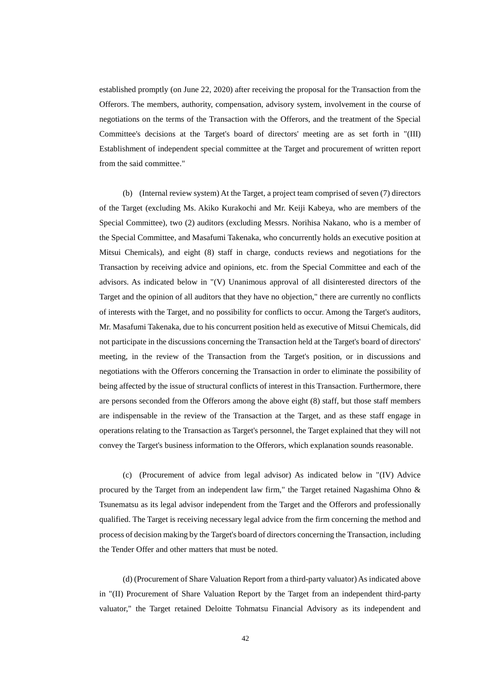established promptly (on June 22, 2020) after receiving the proposal for the Transaction from the Offerors. The members, authority, compensation, advisory system, involvement in the course of negotiations on the terms of the Transaction with the Offerors, and the treatment of the Special Committee's decisions at the Target's board of directors' meeting are as set forth in "(III) Establishment of independent special committee at the Target and procurement of written report from the said committee."

(b) (Internal review system) At the Target, a project team comprised of seven (7) directors of the Target (excluding Ms. Akiko Kurakochi and Mr. Keiji Kabeya, who are members of the Special Committee), two (2) auditors (excluding Messrs. Norihisa Nakano, who is a member of the Special Committee, and Masafumi Takenaka, who concurrently holds an executive position at Mitsui Chemicals), and eight (8) staff in charge, conducts reviews and negotiations for the Transaction by receiving advice and opinions, etc. from the Special Committee and each of the advisors. As indicated below in "(V) Unanimous approval of all disinterested directors of the Target and the opinion of all auditors that they have no objection," there are currently no conflicts of interests with the Target, and no possibility for conflicts to occur. Among the Target's auditors, Mr. Masafumi Takenaka, due to his concurrent position held as executive of Mitsui Chemicals, did not participate in the discussions concerning the Transaction held at the Target's board of directors' meeting, in the review of the Transaction from the Target's position, or in discussions and negotiations with the Offerors concerning the Transaction in order to eliminate the possibility of being affected by the issue of structural conflicts of interest in this Transaction. Furthermore, there are persons seconded from the Offerors among the above eight (8) staff, but those staff members are indispensable in the review of the Transaction at the Target, and as these staff engage in operations relating to the Transaction as Target's personnel, the Target explained that they will not convey the Target's business information to the Offerors, which explanation sounds reasonable.

(c) (Procurement of advice from legal advisor) As indicated below in "(IV) Advice procured by the Target from an independent law firm," the Target retained Nagashima Ohno & Tsunematsu as its legal advisor independent from the Target and the Offerors and professionally qualified. The Target is receiving necessary legal advice from the firm concerning the method and process of decision making by the Target's board of directors concerning the Transaction, including the Tender Offer and other matters that must be noted.

(d) (Procurement of Share Valuation Report from a third-party valuator) As indicated above in "(II) Procurement of Share Valuation Report by the Target from an independent third-party valuator," the Target retained Deloitte Tohmatsu Financial Advisory as its independent and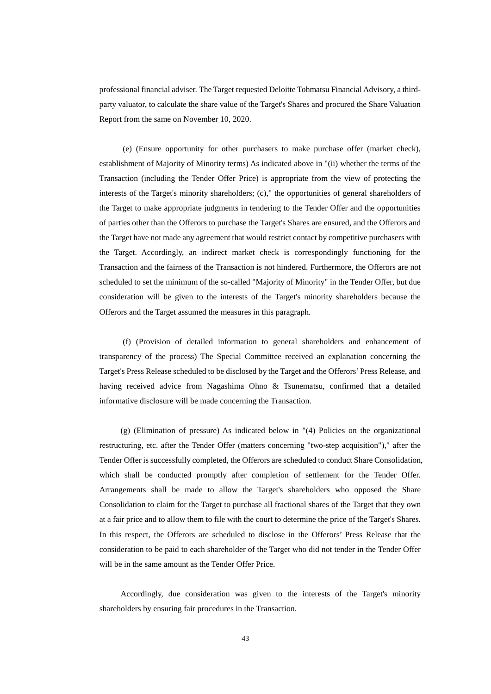professional financial adviser. The Target requested Deloitte Tohmatsu Financial Advisory, a thirdparty valuator, to calculate the share value of the Target's Shares and procured the Share Valuation Report from the same on November 10, 2020.

(e) (Ensure opportunity for other purchasers to make purchase offer (market check), establishment of Majority of Minority terms) As indicated above in "(ii) whether the terms of the Transaction (including the Tender Offer Price) is appropriate from the view of protecting the interests of the Target's minority shareholders; (c)," the opportunities of general shareholders of the Target to make appropriate judgments in tendering to the Tender Offer and the opportunities of parties other than the Offerors to purchase the Target's Shares are ensured, and the Offerors and the Target have not made any agreement that would restrict contact by competitive purchasers with the Target. Accordingly, an indirect market check is correspondingly functioning for the Transaction and the fairness of the Transaction is not hindered. Furthermore, the Offerors are not scheduled to set the minimum of the so-called "Majority of Minority" in the Tender Offer, but due consideration will be given to the interests of the Target's minority shareholders because the Offerors and the Target assumed the measures in this paragraph.

(f) (Provision of detailed information to general shareholders and enhancement of transparency of the process) The Special Committee received an explanation concerning the Target's Press Release scheduled to be disclosed by the Target and the Offerors' Press Release, and having received advice from Nagashima Ohno & Tsunematsu, confirmed that a detailed informative disclosure will be made concerning the Transaction.

(g) (Elimination of pressure) As indicated below in "(4) Policies on the organizational restructuring, etc. after the Tender Offer (matters concerning "two-step acquisition")," after the Tender Offer is successfully completed, the Offerors are scheduled to conduct Share Consolidation, which shall be conducted promptly after completion of settlement for the Tender Offer. Arrangements shall be made to allow the Target's shareholders who opposed the Share Consolidation to claim for the Target to purchase all fractional shares of the Target that they own at a fair price and to allow them to file with the court to determine the price of the Target's Shares. In this respect, the Offerors are scheduled to disclose in the Offerors' Press Release that the consideration to be paid to each shareholder of the Target who did not tender in the Tender Offer will be in the same amount as the Tender Offer Price.

Accordingly, due consideration was given to the interests of the Target's minority shareholders by ensuring fair procedures in the Transaction.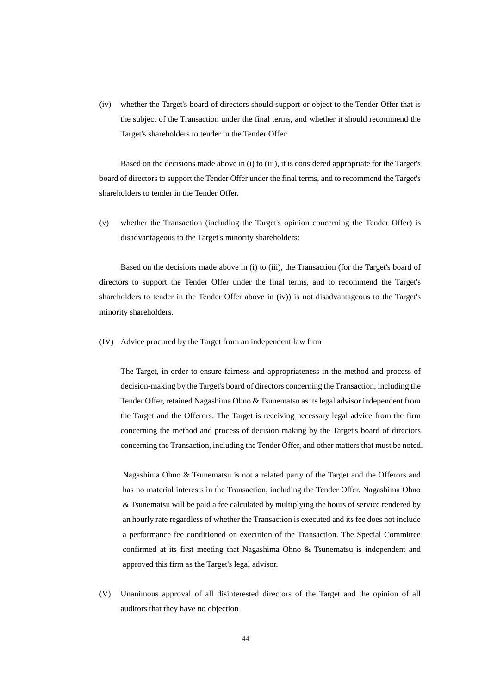(iv) whether the Target's board of directors should support or object to the Tender Offer that is the subject of the Transaction under the final terms, and whether it should recommend the Target's shareholders to tender in the Tender Offer:

Based on the decisions made above in (i) to (iii), it is considered appropriate for the Target's board of directors to support the Tender Offer under the final terms, and to recommend the Target's shareholders to tender in the Tender Offer.

(v) whether the Transaction (including the Target's opinion concerning the Tender Offer) is disadvantageous to the Target's minority shareholders:

Based on the decisions made above in (i) to (iii), the Transaction (for the Target's board of directors to support the Tender Offer under the final terms, and to recommend the Target's shareholders to tender in the Tender Offer above in (iv)) is not disadvantageous to the Target's minority shareholders.

(IV) Advice procured by the Target from an independent law firm

The Target, in order to ensure fairness and appropriateness in the method and process of decision-making by the Target's board of directors concerning the Transaction, including the Tender Offer, retained Nagashima Ohno & Tsunematsu as its legal advisor independent from the Target and the Offerors. The Target is receiving necessary legal advice from the firm concerning the method and process of decision making by the Target's board of directors concerning the Transaction, including the Tender Offer, and other matters that must be noted.

Nagashima Ohno & Tsunematsu is not a related party of the Target and the Offerors and has no material interests in the Transaction, including the Tender Offer. Nagashima Ohno & Tsunematsu will be paid a fee calculated by multiplying the hours of service rendered by an hourly rate regardless of whether the Transaction is executed and its fee does not include a performance fee conditioned on execution of the Transaction. The Special Committee confirmed at its first meeting that Nagashima Ohno & Tsunematsu is independent and approved this firm as the Target's legal advisor.

(V) Unanimous approval of all disinterested directors of the Target and the opinion of all auditors that they have no objection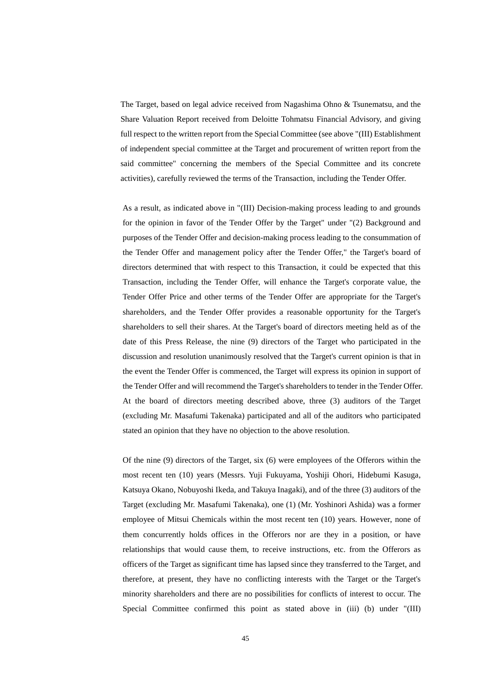The Target, based on legal advice received from Nagashima Ohno & Tsunematsu, and the Share Valuation Report received from Deloitte Tohmatsu Financial Advisory, and giving full respect to the written report from the Special Committee (see above "(III) Establishment of independent special committee at the Target and procurement of written report from the said committee" concerning the members of the Special Committee and its concrete activities), carefully reviewed the terms of the Transaction, including the Tender Offer.

As a result, as indicated above in "(III) Decision-making process leading to and grounds for the opinion in favor of the Tender Offer by the Target" under "(2) Background and purposes of the Tender Offer and decision-making process leading to the consummation of the Tender Offer and management policy after the Tender Offer," the Target's board of directors determined that with respect to this Transaction, it could be expected that this Transaction, including the Tender Offer, will enhance the Target's corporate value, the Tender Offer Price and other terms of the Tender Offer are appropriate for the Target's shareholders, and the Tender Offer provides a reasonable opportunity for the Target's shareholders to sell their shares. At the Target's board of directors meeting held as of the date of this Press Release, the nine (9) directors of the Target who participated in the discussion and resolution unanimously resolved that the Target's current opinion is that in the event the Tender Offer is commenced, the Target will express its opinion in support of the Tender Offer and will recommend the Target's shareholders to tender in the Tender Offer. At the board of directors meeting described above, three (3) auditors of the Target (excluding Mr. Masafumi Takenaka) participated and all of the auditors who participated stated an opinion that they have no objection to the above resolution.

Of the nine (9) directors of the Target, six (6) were employees of the Offerors within the most recent ten (10) years (Messrs. Yuji Fukuyama, Yoshiji Ohori, Hidebumi Kasuga, Katsuya Okano, Nobuyoshi Ikeda, and Takuya Inagaki), and of the three (3) auditors of the Target (excluding Mr. Masafumi Takenaka), one (1) (Mr. Yoshinori Ashida) was a former employee of Mitsui Chemicals within the most recent ten (10) years. However, none of them concurrently holds offices in the Offerors nor are they in a position, or have relationships that would cause them, to receive instructions, etc. from the Offerors as officers of the Target as significant time has lapsed since they transferred to the Target, and therefore, at present, they have no conflicting interests with the Target or the Target's minority shareholders and there are no possibilities for conflicts of interest to occur. The Special Committee confirmed this point as stated above in (iii) (b) under "(III)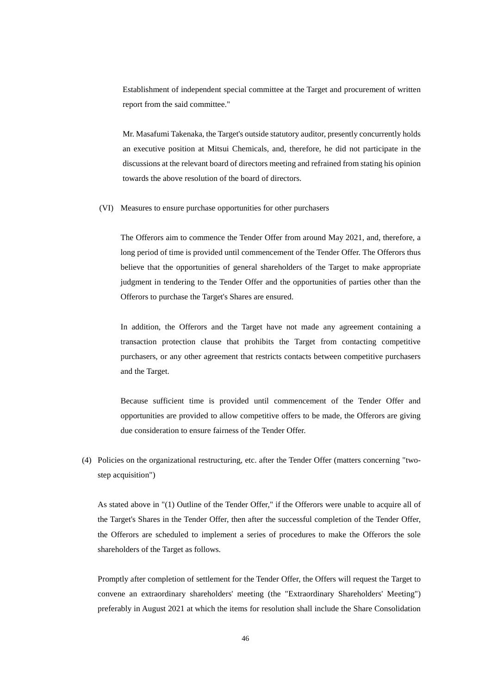Establishment of independent special committee at the Target and procurement of written report from the said committee."

Mr. Masafumi Takenaka, the Target's outside statutory auditor, presently concurrently holds an executive position at Mitsui Chemicals, and, therefore, he did not participate in the discussions at the relevant board of directors meeting and refrained from stating his opinion towards the above resolution of the board of directors.

(VI) Measures to ensure purchase opportunities for other purchasers

The Offerors aim to commence the Tender Offer from around May 2021, and, therefore, a long period of time is provided until commencement of the Tender Offer. The Offerors thus believe that the opportunities of general shareholders of the Target to make appropriate judgment in tendering to the Tender Offer and the opportunities of parties other than the Offerors to purchase the Target's Shares are ensured.

In addition, the Offerors and the Target have not made any agreement containing a transaction protection clause that prohibits the Target from contacting competitive purchasers, or any other agreement that restricts contacts between competitive purchasers and the Target.

Because sufficient time is provided until commencement of the Tender Offer and opportunities are provided to allow competitive offers to be made, the Offerors are giving due consideration to ensure fairness of the Tender Offer.

(4) Policies on the organizational restructuring, etc. after the Tender Offer (matters concerning "twostep acquisition")

As stated above in "(1) Outline of the Tender Offer," if the Offerors were unable to acquire all of the Target's Shares in the Tender Offer, then after the successful completion of the Tender Offer, the Offerors are scheduled to implement a series of procedures to make the Offerors the sole shareholders of the Target as follows.

Promptly after completion of settlement for the Tender Offer, the Offers will request the Target to convene an extraordinary shareholders' meeting (the "Extraordinary Shareholders' Meeting") preferably in August 2021 at which the items for resolution shall include the Share Consolidation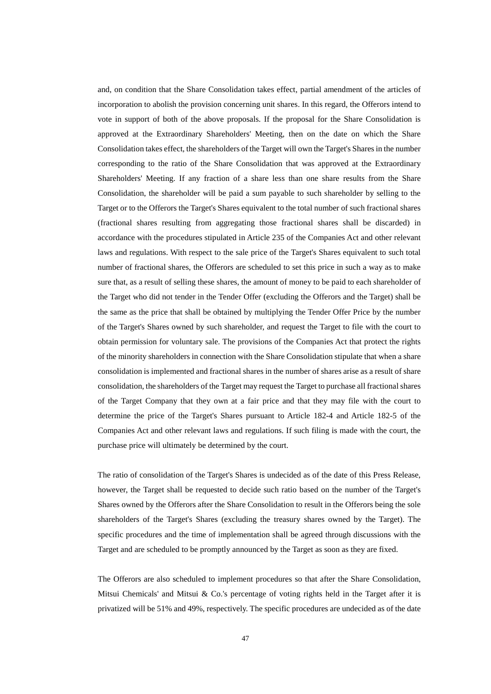and, on condition that the Share Consolidation takes effect, partial amendment of the articles of incorporation to abolish the provision concerning unit shares. In this regard, the Offerors intend to vote in support of both of the above proposals. If the proposal for the Share Consolidation is approved at the Extraordinary Shareholders' Meeting, then on the date on which the Share Consolidation takes effect, the shareholders of the Target will own the Target's Shares in the number corresponding to the ratio of the Share Consolidation that was approved at the Extraordinary Shareholders' Meeting. If any fraction of a share less than one share results from the Share Consolidation, the shareholder will be paid a sum payable to such shareholder by selling to the Target or to the Offerors the Target's Shares equivalent to the total number of such fractional shares (fractional shares resulting from aggregating those fractional shares shall be discarded) in accordance with the procedures stipulated in Article 235 of the Companies Act and other relevant laws and regulations. With respect to the sale price of the Target's Shares equivalent to such total number of fractional shares, the Offerors are scheduled to set this price in such a way as to make sure that, as a result of selling these shares, the amount of money to be paid to each shareholder of the Target who did not tender in the Tender Offer (excluding the Offerors and the Target) shall be the same as the price that shall be obtained by multiplying the Tender Offer Price by the number of the Target's Shares owned by such shareholder, and request the Target to file with the court to obtain permission for voluntary sale. The provisions of the Companies Act that protect the rights of the minority shareholders in connection with the Share Consolidation stipulate that when a share consolidation is implemented and fractional shares in the number of shares arise as a result of share consolidation, the shareholders of the Target may request the Target to purchase all fractional shares of the Target Company that they own at a fair price and that they may file with the court to determine the price of the Target's Shares pursuant to Article 182-4 and Article 182-5 of the Companies Act and other relevant laws and regulations. If such filing is made with the court, the purchase price will ultimately be determined by the court.

The ratio of consolidation of the Target's Shares is undecided as of the date of this Press Release, however, the Target shall be requested to decide such ratio based on the number of the Target's Shares owned by the Offerors after the Share Consolidation to result in the Offerors being the sole shareholders of the Target's Shares (excluding the treasury shares owned by the Target). The specific procedures and the time of implementation shall be agreed through discussions with the Target and are scheduled to be promptly announced by the Target as soon as they are fixed.

The Offerors are also scheduled to implement procedures so that after the Share Consolidation, Mitsui Chemicals' and Mitsui & Co.'s percentage of voting rights held in the Target after it is privatized will be 51% and 49%, respectively. The specific procedures are undecided as of the date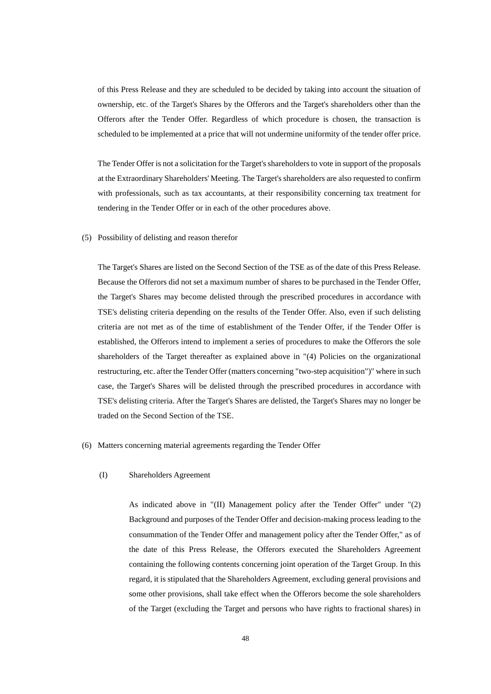of this Press Release and they are scheduled to be decided by taking into account the situation of ownership, etc. of the Target's Shares by the Offerors and the Target's shareholders other than the Offerors after the Tender Offer. Regardless of which procedure is chosen, the transaction is scheduled to be implemented at a price that will not undermine uniformity of the tender offer price.

The Tender Offer is not a solicitation for the Target's shareholders to vote in support of the proposals at the Extraordinary Shareholders' Meeting. The Target's shareholders are also requested to confirm with professionals, such as tax accountants, at their responsibility concerning tax treatment for tendering in the Tender Offer or in each of the other procedures above.

# (5) Possibility of delisting and reason therefor

The Target's Shares are listed on the Second Section of the TSE as of the date of this Press Release. Because the Offerors did not set a maximum number of shares to be purchased in the Tender Offer, the Target's Shares may become delisted through the prescribed procedures in accordance with TSE's delisting criteria depending on the results of the Tender Offer. Also, even if such delisting criteria are not met as of the time of establishment of the Tender Offer, if the Tender Offer is established, the Offerors intend to implement a series of procedures to make the Offerors the sole shareholders of the Target thereafter as explained above in "(4) Policies on the organizational restructuring, etc. after the Tender Offer (matters concerning "two-step acquisition")" where in such case, the Target's Shares will be delisted through the prescribed procedures in accordance with TSE's delisting criteria. After the Target's Shares are delisted, the Target's Shares may no longer be traded on the Second Section of the TSE.

# (6) Matters concerning material agreements regarding the Tender Offer

# (I) Shareholders Agreement

As indicated above in "(II) Management policy after the Tender Offer" under "(2) Background and purposes of the Tender Offer and decision-making process leading to the consummation of the Tender Offer and management policy after the Tender Offer," as of the date of this Press Release, the Offerors executed the Shareholders Agreement containing the following contents concerning joint operation of the Target Group. In this regard, it is stipulated that the Shareholders Agreement, excluding general provisions and some other provisions, shall take effect when the Offerors become the sole shareholders of the Target (excluding the Target and persons who have rights to fractional shares) in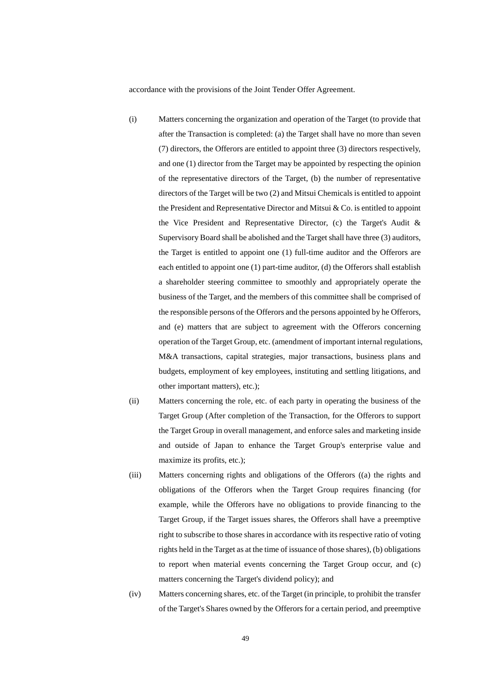accordance with the provisions of the Joint Tender Offer Agreement.

- (i) Matters concerning the organization and operation of the Target (to provide that after the Transaction is completed: (a) the Target shall have no more than seven (7) directors, the Offerors are entitled to appoint three (3) directors respectively, and one (1) director from the Target may be appointed by respecting the opinion of the representative directors of the Target, (b) the number of representative directors of the Target will be two (2) and Mitsui Chemicals is entitled to appoint the President and Representative Director and Mitsui & Co. is entitled to appoint the Vice President and Representative Director, (c) the Target's Audit & Supervisory Board shall be abolished and the Target shall have three (3) auditors, the Target is entitled to appoint one (1) full-time auditor and the Offerors are each entitled to appoint one (1) part-time auditor, (d) the Offerors shall establish a shareholder steering committee to smoothly and appropriately operate the business of the Target, and the members of this committee shall be comprised of the responsible persons of the Offerors and the persons appointed by he Offerors, and (e) matters that are subject to agreement with the Offerors concerning operation of the Target Group, etc. (amendment of important internal regulations, M&A transactions, capital strategies, major transactions, business plans and budgets, employment of key employees, instituting and settling litigations, and other important matters), etc.);
- (ii) Matters concerning the role, etc. of each party in operating the business of the Target Group (After completion of the Transaction, for the Offerors to support the Target Group in overall management, and enforce sales and marketing inside and outside of Japan to enhance the Target Group's enterprise value and maximize its profits, etc.);
- (iii) Matters concerning rights and obligations of the Offerors ((a) the rights and obligations of the Offerors when the Target Group requires financing (for example, while the Offerors have no obligations to provide financing to the Target Group, if the Target issues shares, the Offerors shall have a preemptive right to subscribe to those shares in accordance with its respective ratio of voting rights held in the Target as at the time of issuance of those shares), (b) obligations to report when material events concerning the Target Group occur, and (c) matters concerning the Target's dividend policy); and
- (iv) Matters concerning shares, etc. of the Target (in principle, to prohibit the transfer of the Target's Shares owned by the Offerors for a certain period, and preemptive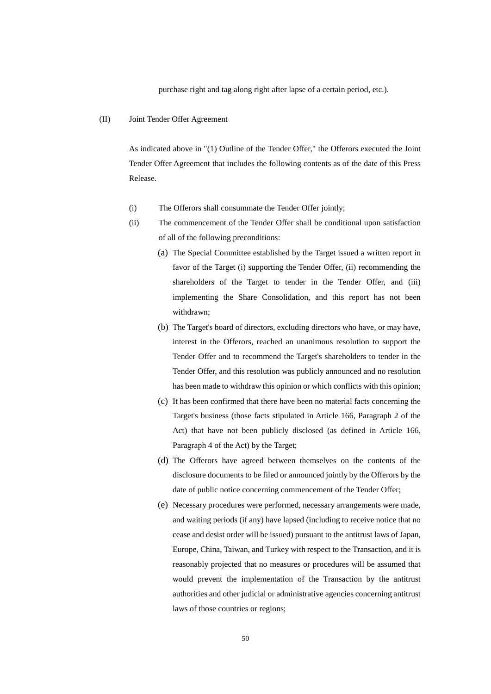purchase right and tag along right after lapse of a certain period, etc.).

## (II) Joint Tender Offer Agreement

As indicated above in "(1) Outline of the Tender Offer," the Offerors executed the Joint Tender Offer Agreement that includes the following contents as of the date of this Press Release.

- (i) The Offerors shall consummate the Tender Offer jointly;
- (ii) The commencement of the Tender Offer shall be conditional upon satisfaction of all of the following preconditions:
	- (a) The Special Committee established by the Target issued a written report in favor of the Target (i) supporting the Tender Offer, (ii) recommending the shareholders of the Target to tender in the Tender Offer, and (iii) implementing the Share Consolidation, and this report has not been withdrawn;
	- (b) The Target's board of directors, excluding directors who have, or may have, interest in the Offerors, reached an unanimous resolution to support the Tender Offer and to recommend the Target's shareholders to tender in the Tender Offer, and this resolution was publicly announced and no resolution has been made to withdraw this opinion or which conflicts with this opinion;
	- (c) It has been confirmed that there have been no material facts concerning the Target's business (those facts stipulated in Article 166, Paragraph 2 of the Act) that have not been publicly disclosed (as defined in Article 166, Paragraph 4 of the Act) by the Target;
	- (d) The Offerors have agreed between themselves on the contents of the disclosure documents to be filed or announced jointly by the Offerors by the date of public notice concerning commencement of the Tender Offer;
	- (e) Necessary procedures were performed, necessary arrangements were made, and waiting periods (if any) have lapsed (including to receive notice that no cease and desist order will be issued) pursuant to the antitrust laws of Japan, Europe, China, Taiwan, and Turkey with respect to the Transaction, and it is reasonably projected that no measures or procedures will be assumed that would prevent the implementation of the Transaction by the antitrust authorities and other judicial or administrative agencies concerning antitrust laws of those countries or regions;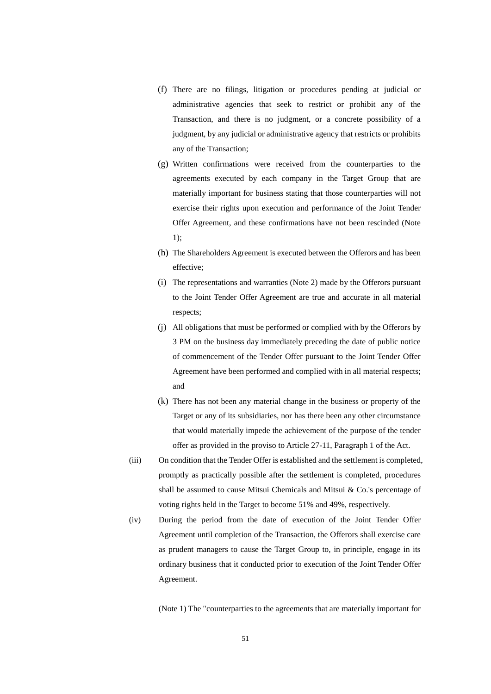- (f) There are no filings, litigation or procedures pending at judicial or administrative agencies that seek to restrict or prohibit any of the Transaction, and there is no judgment, or a concrete possibility of a judgment, by any judicial or administrative agency that restricts or prohibits any of the Transaction;
- (g) Written confirmations were received from the counterparties to the agreements executed by each company in the Target Group that are materially important for business stating that those counterparties will not exercise their rights upon execution and performance of the Joint Tender Offer Agreement, and these confirmations have not been rescinded (Note 1);
- (h) The Shareholders Agreement is executed between the Offerors and has been effective;
- (i) The representations and warranties (Note 2) made by the Offerors pursuant to the Joint Tender Offer Agreement are true and accurate in all material respects;
- (j) All obligations that must be performed or complied with by the Offerors by 3 PM on the business day immediately preceding the date of public notice of commencement of the Tender Offer pursuant to the Joint Tender Offer Agreement have been performed and complied with in all material respects; and
- (k) There has not been any material change in the business or property of the Target or any of its subsidiaries, nor has there been any other circumstance that would materially impede the achievement of the purpose of the tender offer as provided in the proviso to Article 27-11, Paragraph 1 of the Act.
- (iii) On condition that the Tender Offer is established and the settlement is completed, promptly as practically possible after the settlement is completed, procedures shall be assumed to cause Mitsui Chemicals and Mitsui & Co.'s percentage of voting rights held in the Target to become 51% and 49%, respectively.
- (iv) During the period from the date of execution of the Joint Tender Offer Agreement until completion of the Transaction, the Offerors shall exercise care as prudent managers to cause the Target Group to, in principle, engage in its ordinary business that it conducted prior to execution of the Joint Tender Offer Agreement.

(Note 1) The "counterparties to the agreements that are materially important for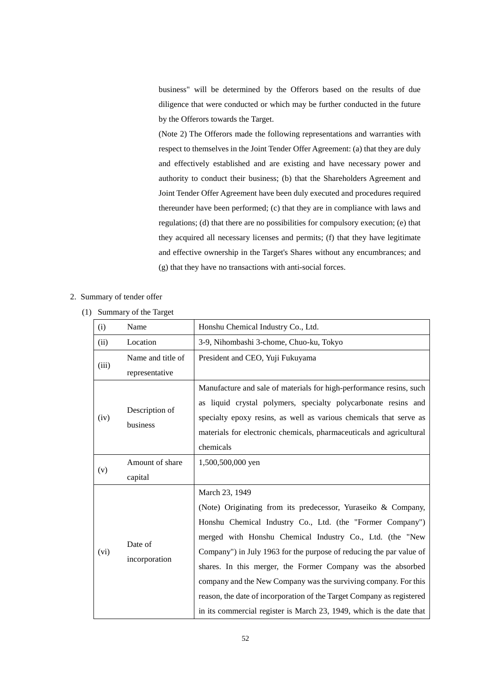business" will be determined by the Offerors based on the results of due diligence that were conducted or which may be further conducted in the future by the Offerors towards the Target.

(Note 2) The Offerors made the following representations and warranties with respect to themselves in the Joint Tender Offer Agreement: (a) that they are duly and effectively established and are existing and have necessary power and authority to conduct their business; (b) that the Shareholders Agreement and Joint Tender Offer Agreement have been duly executed and procedures required thereunder have been performed; (c) that they are in compliance with laws and regulations; (d) that there are no possibilities for compulsory execution; (e) that they acquired all necessary licenses and permits; (f) that they have legitimate and effective ownership in the Target's Shares without any encumbrances; and (g) that they have no transactions with anti-social forces.

# 2. Summary of tender offer

(1) Summary of the Target

| (i)   | Name                                | Honshu Chemical Industry Co., Ltd.                                                                                                                                                                                                                                                                                                                                                                                                                                                                                                                                 |
|-------|-------------------------------------|--------------------------------------------------------------------------------------------------------------------------------------------------------------------------------------------------------------------------------------------------------------------------------------------------------------------------------------------------------------------------------------------------------------------------------------------------------------------------------------------------------------------------------------------------------------------|
| (ii)  | Location                            | 3-9, Nihombashi 3-chome, Chuo-ku, Tokyo                                                                                                                                                                                                                                                                                                                                                                                                                                                                                                                            |
| (iii) | Name and title of<br>representative | President and CEO, Yuji Fukuyama                                                                                                                                                                                                                                                                                                                                                                                                                                                                                                                                   |
| (iv)  | Description of<br>business          | Manufacture and sale of materials for high-performance resins, such<br>as liquid crystal polymers, specialty polycarbonate resins and<br>specialty epoxy resins, as well as various chemicals that serve as<br>materials for electronic chemicals, pharmaceuticals and agricultural<br>chemicals                                                                                                                                                                                                                                                                   |
| (v)   | Amount of share<br>capital          | 1,500,500,000 yen                                                                                                                                                                                                                                                                                                                                                                                                                                                                                                                                                  |
| (vi)  | Date of<br>incorporation            | March 23, 1949<br>(Note) Originating from its predecessor, Yuraseiko & Company,<br>Honshu Chemical Industry Co., Ltd. (the "Former Company")<br>merged with Honshu Chemical Industry Co., Ltd. (the "New<br>Company") in July 1963 for the purpose of reducing the par value of<br>shares. In this merger, the Former Company was the absorbed<br>company and the New Company was the surviving company. For this<br>reason, the date of incorporation of the Target Company as registered<br>in its commercial register is March 23, 1949, which is the date that |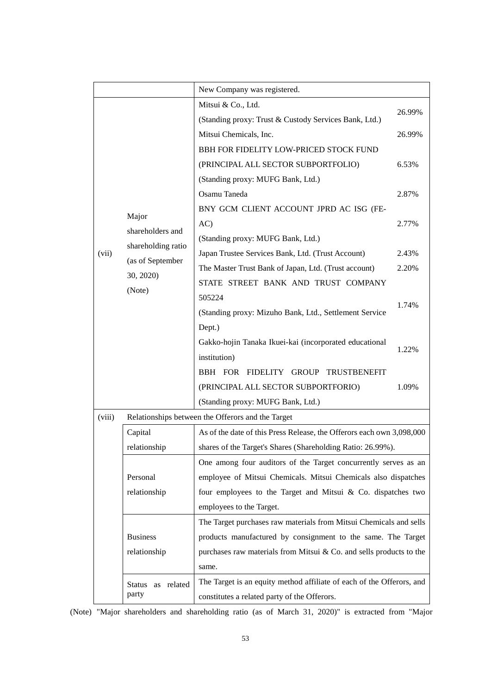|        |                    | New Company was registered.                                           |        |
|--------|--------------------|-----------------------------------------------------------------------|--------|
|        |                    | Mitsui & Co., Ltd.                                                    |        |
|        |                    | (Standing proxy: Trust & Custody Services Bank, Ltd.)                 | 26.99% |
|        |                    | Mitsui Chemicals, Inc.                                                | 26.99% |
|        |                    | BBH FOR FIDELITY LOW-PRICED STOCK FUND                                |        |
|        |                    | (PRINCIPAL ALL SECTOR SUBPORTFOLIO)                                   | 6.53%  |
|        |                    | (Standing proxy: MUFG Bank, Ltd.)                                     |        |
|        |                    | Osamu Taneda                                                          | 2.87%  |
|        |                    | BNY GCM CLIENT ACCOUNT JPRD AC ISG (FE-                               |        |
|        | Major              | AC)                                                                   | 2.77%  |
|        | shareholders and   | (Standing proxy: MUFG Bank, Ltd.)                                     |        |
| (vii)  | shareholding ratio | Japan Trustee Services Bank, Ltd. (Trust Account)                     | 2.43%  |
|        | (as of September   | The Master Trust Bank of Japan, Ltd. (Trust account)                  | 2.20%  |
|        | 30, 2020)          | STATE STREET BANK AND TRUST COMPANY                                   |        |
|        | (Note)             | 505224                                                                |        |
|        |                    | (Standing proxy: Mizuho Bank, Ltd., Settlement Service                | 1.74%  |
|        |                    | Dept.)                                                                |        |
|        |                    | Gakko-hojin Tanaka Ikuei-kai (incorporated educational                |        |
|        |                    | institution)                                                          | 1.22%  |
|        |                    | BBH FOR FIDELITY GROUP TRUSTBENEFIT                                   |        |
|        |                    | (PRINCIPAL ALL SECTOR SUBPORTFORIO)                                   | 1.09%  |
|        |                    | (Standing proxy: MUFG Bank, Ltd.)                                     |        |
| (viii) |                    | Relationships between the Offerors and the Target                     |        |
|        | Capital            | As of the date of this Press Release, the Offerors each own 3,098,000 |        |
|        | relationship       | shares of the Target's Shares (Shareholding Ratio: 26.99%).           |        |
|        |                    | One among four auditors of the Target concurrently serves as an       |        |
|        | Personal           | employee of Mitsui Chemicals. Mitsui Chemicals also dispatches        |        |
|        | relationship       | four employees to the Target and Mitsui $\&$ Co. dispatches two       |        |
|        |                    | employees to the Target.                                              |        |
|        |                    | The Target purchases raw materials from Mitsui Chemicals and sells    |        |
|        | <b>Business</b>    | products manufactured by consignment to the same. The Target          |        |
|        | relationship       | purchases raw materials from Mitsui & Co. and sells products to the   |        |
|        |                    | same.                                                                 |        |
|        | Status as related  | The Target is an equity method affiliate of each of the Offerors, and |        |
|        | party              | constitutes a related party of the Offerors.                          |        |

(Note) "Major shareholders and shareholding ratio (as of March 31, 2020)" is extracted from "Major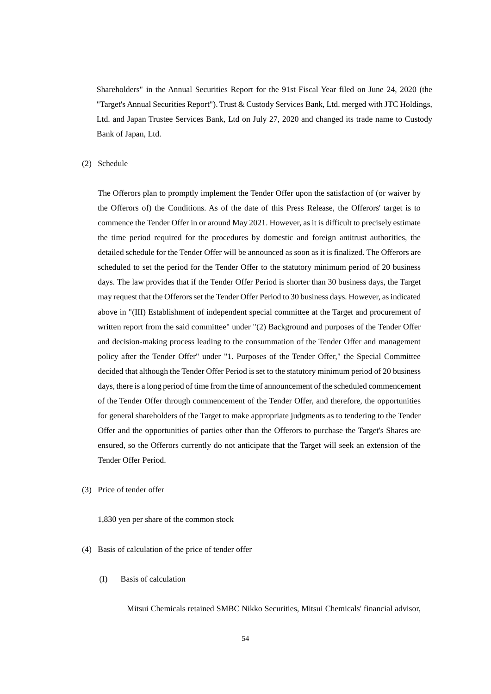Shareholders" in the Annual Securities Report for the 91st Fiscal Year filed on June 24, 2020 (the "Target's Annual Securities Report"). Trust & Custody Services Bank, Ltd. merged with JTC Holdings, Ltd. and Japan Trustee Services Bank, Ltd on July 27, 2020 and changed its trade name to Custody Bank of Japan, Ltd.

#### (2) Schedule

The Offerors plan to promptly implement the Tender Offer upon the satisfaction of (or waiver by the Offerors of) the Conditions. As of the date of this Press Release, the Offerors' target is to commence the Tender Offer in or around May 2021. However, as it is difficult to precisely estimate the time period required for the procedures by domestic and foreign antitrust authorities, the detailed schedule for the Tender Offer will be announced as soon as it is finalized. The Offerors are scheduled to set the period for the Tender Offer to the statutory minimum period of 20 business days. The law provides that if the Tender Offer Period is shorter than 30 business days, the Target may request that the Offerors set the Tender Offer Period to 30 business days. However, as indicated above in "(III) Establishment of independent special committee at the Target and procurement of written report from the said committee" under "(2) Background and purposes of the Tender Offer and decision-making process leading to the consummation of the Tender Offer and management policy after the Tender Offer" under "1. Purposes of the Tender Offer," the Special Committee decided that although the Tender Offer Period is set to the statutory minimum period of 20 business days, there is a long period of time from the time of announcement of the scheduled commencement of the Tender Offer through commencement of the Tender Offer, and therefore, the opportunities for general shareholders of the Target to make appropriate judgments as to tendering to the Tender Offer and the opportunities of parties other than the Offerors to purchase the Target's Shares are ensured, so the Offerors currently do not anticipate that the Target will seek an extension of the Tender Offer Period.

- (3) Price of tender offer
	- 1,830 yen per share of the common stock
- (4) Basis of calculation of the price of tender offer
	- (I) Basis of calculation

Mitsui Chemicals retained SMBC Nikko Securities, Mitsui Chemicals' financial advisor,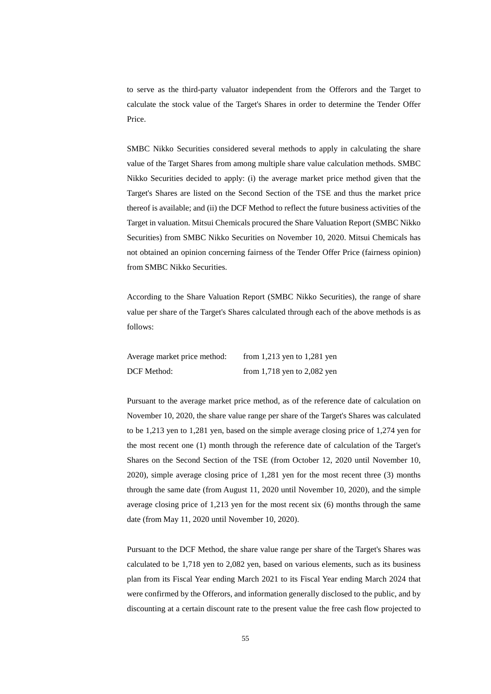to serve as the third-party valuator independent from the Offerors and the Target to calculate the stock value of the Target's Shares in order to determine the Tender Offer Price.

SMBC Nikko Securities considered several methods to apply in calculating the share value of the Target Shares from among multiple share value calculation methods. SMBC Nikko Securities decided to apply: (i) the average market price method given that the Target's Shares are listed on the Second Section of the TSE and thus the market price thereof is available; and (ii) the DCF Method to reflect the future business activities of the Target in valuation. Mitsui Chemicals procured the Share Valuation Report (SMBC Nikko Securities) from SMBC Nikko Securities on November 10, 2020. Mitsui Chemicals has not obtained an opinion concerning fairness of the Tender Offer Price (fairness opinion) from SMBC Nikko Securities.

According to the Share Valuation Report (SMBC Nikko Securities), the range of share value per share of the Target's Shares calculated through each of the above methods is as follows:

Average market price method: from 1,213 yen to 1,281 yen DCF Method: from 1,718 yen to 2,082 yen

Pursuant to the average market price method, as of the reference date of calculation on November 10, 2020, the share value range per share of the Target's Shares was calculated to be 1,213 yen to 1,281 yen, based on the simple average closing price of 1,274 yen for the most recent one (1) month through the reference date of calculation of the Target's Shares on the Second Section of the TSE (from October 12, 2020 until November 10, 2020), simple average closing price of 1,281 yen for the most recent three (3) months through the same date (from August 11, 2020 until November 10, 2020), and the simple average closing price of 1,213 yen for the most recent six (6) months through the same date (from May 11, 2020 until November 10, 2020).

Pursuant to the DCF Method, the share value range per share of the Target's Shares was calculated to be 1,718 yen to 2,082 yen, based on various elements, such as its business plan from its Fiscal Year ending March 2021 to its Fiscal Year ending March 2024 that were confirmed by the Offerors, and information generally disclosed to the public, and by discounting at a certain discount rate to the present value the free cash flow projected to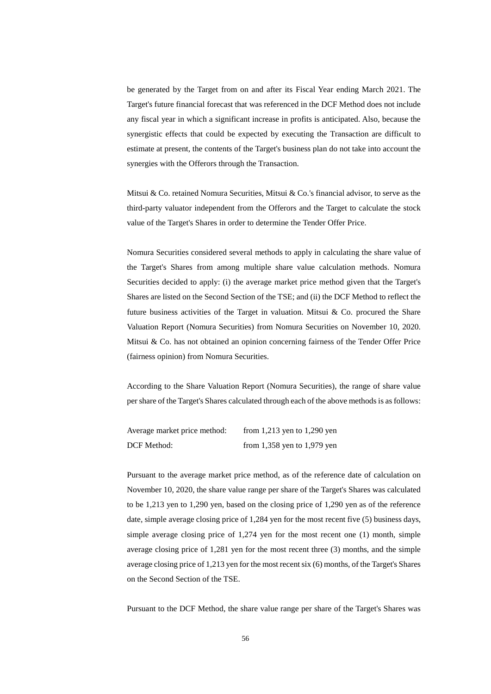be generated by the Target from on and after its Fiscal Year ending March 2021. The Target's future financial forecast that was referenced in the DCF Method does not include any fiscal year in which a significant increase in profits is anticipated. Also, because the synergistic effects that could be expected by executing the Transaction are difficult to estimate at present, the contents of the Target's business plan do not take into account the synergies with the Offerors through the Transaction.

Mitsui & Co. retained Nomura Securities, Mitsui & Co.'s financial advisor, to serve as the third-party valuator independent from the Offerors and the Target to calculate the stock value of the Target's Shares in order to determine the Tender Offer Price.

Nomura Securities considered several methods to apply in calculating the share value of the Target's Shares from among multiple share value calculation methods. Nomura Securities decided to apply: (i) the average market price method given that the Target's Shares are listed on the Second Section of the TSE; and (ii) the DCF Method to reflect the future business activities of the Target in valuation. Mitsui & Co. procured the Share Valuation Report (Nomura Securities) from Nomura Securities on November 10, 2020. Mitsui & Co. has not obtained an opinion concerning fairness of the Tender Offer Price (fairness opinion) from Nomura Securities.

According to the Share Valuation Report (Nomura Securities), the range of share value per share of the Target's Shares calculated through each of the above methods is as follows:

| Average market price method: | from 1,213 yen to 1,290 yen     |
|------------------------------|---------------------------------|
| <b>DCF</b> Method:           | from $1,358$ yen to $1,979$ yen |

Pursuant to the average market price method, as of the reference date of calculation on November 10, 2020, the share value range per share of the Target's Shares was calculated to be 1,213 yen to 1,290 yen, based on the closing price of 1,290 yen as of the reference date, simple average closing price of 1,284 yen for the most recent five (5) business days, simple average closing price of 1,274 yen for the most recent one (1) month, simple average closing price of 1,281 yen for the most recent three (3) months, and the simple average closing price of 1,213 yen for the most recent six (6) months, of the Target's Shares on the Second Section of the TSE.

Pursuant to the DCF Method, the share value range per share of the Target's Shares was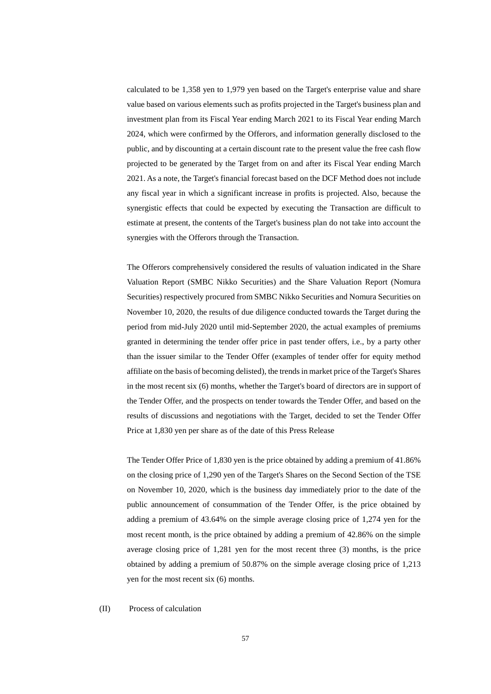calculated to be 1,358 yen to 1,979 yen based on the Target's enterprise value and share value based on various elements such as profits projected in the Target's business plan and investment plan from its Fiscal Year ending March 2021 to its Fiscal Year ending March 2024, which were confirmed by the Offerors, and information generally disclosed to the public, and by discounting at a certain discount rate to the present value the free cash flow projected to be generated by the Target from on and after its Fiscal Year ending March 2021. As a note, the Target's financial forecast based on the DCF Method does not include any fiscal year in which a significant increase in profits is projected. Also, because the synergistic effects that could be expected by executing the Transaction are difficult to estimate at present, the contents of the Target's business plan do not take into account the synergies with the Offerors through the Transaction.

The Offerors comprehensively considered the results of valuation indicated in the Share Valuation Report (SMBC Nikko Securities) and the Share Valuation Report (Nomura Securities) respectively procured from SMBC Nikko Securities and Nomura Securities on November 10, 2020, the results of due diligence conducted towards the Target during the period from mid-July 2020 until mid-September 2020, the actual examples of premiums granted in determining the tender offer price in past tender offers, i.e., by a party other than the issuer similar to the Tender Offer (examples of tender offer for equity method affiliate on the basis of becoming delisted), the trends in market price of the Target's Shares in the most recent six (6) months, whether the Target's board of directors are in support of the Tender Offer, and the prospects on tender towards the Tender Offer, and based on the results of discussions and negotiations with the Target, decided to set the Tender Offer Price at 1,830 yen per share as of the date of this Press Release

The Tender Offer Price of 1,830 yen is the price obtained by adding a premium of 41.86% on the closing price of 1,290 yen of the Target's Shares on the Second Section of the TSE on November 10, 2020, which is the business day immediately prior to the date of the public announcement of consummation of the Tender Offer, is the price obtained by adding a premium of 43.64% on the simple average closing price of 1,274 yen for the most recent month, is the price obtained by adding a premium of 42.86% on the simple average closing price of 1,281 yen for the most recent three (3) months, is the price obtained by adding a premium of 50.87% on the simple average closing price of 1,213 yen for the most recent six (6) months.

(II) Process of calculation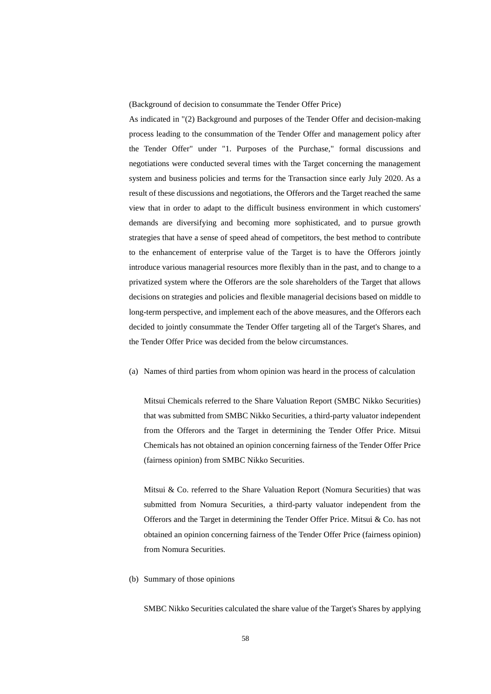(Background of decision to consummate the Tender Offer Price)

As indicated in "(2) Background and purposes of the Tender Offer and decision-making process leading to the consummation of the Tender Offer and management policy after the Tender Offer" under "1. Purposes of the Purchase," formal discussions and negotiations were conducted several times with the Target concerning the management system and business policies and terms for the Transaction since early July 2020. As a result of these discussions and negotiations, the Offerors and the Target reached the same view that in order to adapt to the difficult business environment in which customers' demands are diversifying and becoming more sophisticated, and to pursue growth strategies that have a sense of speed ahead of competitors, the best method to contribute to the enhancement of enterprise value of the Target is to have the Offerors jointly introduce various managerial resources more flexibly than in the past, and to change to a privatized system where the Offerors are the sole shareholders of the Target that allows decisions on strategies and policies and flexible managerial decisions based on middle to long-term perspective, and implement each of the above measures, and the Offerors each decided to jointly consummate the Tender Offer targeting all of the Target's Shares, and the Tender Offer Price was decided from the below circumstances.

(a) Names of third parties from whom opinion was heard in the process of calculation

Mitsui Chemicals referred to the Share Valuation Report (SMBC Nikko Securities) that was submitted from SMBC Nikko Securities, a third-party valuator independent from the Offerors and the Target in determining the Tender Offer Price. Mitsui Chemicals has not obtained an opinion concerning fairness of the Tender Offer Price (fairness opinion) from SMBC Nikko Securities.

Mitsui & Co. referred to the Share Valuation Report (Nomura Securities) that was submitted from Nomura Securities, a third-party valuator independent from the Offerors and the Target in determining the Tender Offer Price. Mitsui & Co. has not obtained an opinion concerning fairness of the Tender Offer Price (fairness opinion) from Nomura Securities.

(b) Summary of those opinions

SMBC Nikko Securities calculated the share value of the Target's Shares by applying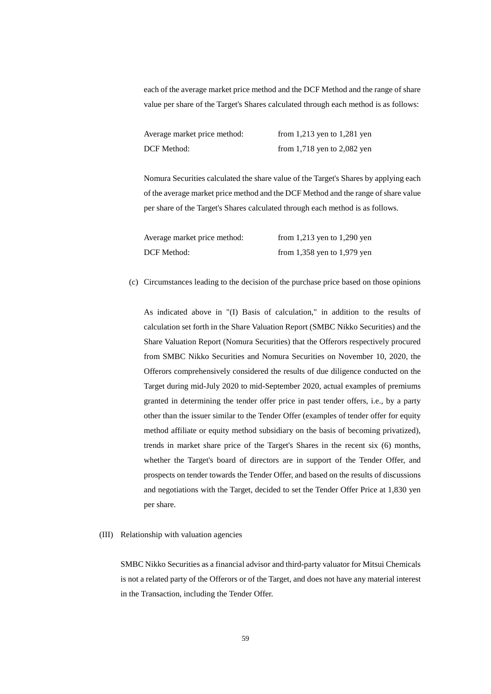each of the average market price method and the DCF Method and the range of share value per share of the Target's Shares calculated through each method is as follows:

| Average market price method: | from 1,213 yen to 1,281 yen     |
|------------------------------|---------------------------------|
| DCF Method:                  | from $1,718$ yen to $2,082$ yen |

Nomura Securities calculated the share value of the Target's Shares by applying each of the average market price method and the DCF Method and the range of share value per share of the Target's Shares calculated through each method is as follows.

| Average market price method: | from 1,213 yen to 1,290 yen |
|------------------------------|-----------------------------|
| <b>DCF</b> Method:           | from 1,358 yen to 1,979 yen |

## (c) Circumstances leading to the decision of the purchase price based on those opinions

As indicated above in "(I) Basis of calculation," in addition to the results of calculation set forth in the Share Valuation Report (SMBC Nikko Securities) and the Share Valuation Report (Nomura Securities) that the Offerors respectively procured from SMBC Nikko Securities and Nomura Securities on November 10, 2020, the Offerors comprehensively considered the results of due diligence conducted on the Target during mid-July 2020 to mid-September 2020, actual examples of premiums granted in determining the tender offer price in past tender offers, i.e., by a party other than the issuer similar to the Tender Offer (examples of tender offer for equity method affiliate or equity method subsidiary on the basis of becoming privatized), trends in market share price of the Target's Shares in the recent six (6) months, whether the Target's board of directors are in support of the Tender Offer, and prospects on tender towards the Tender Offer, and based on the results of discussions and negotiations with the Target, decided to set the Tender Offer Price at 1,830 yen per share.

## (III) Relationship with valuation agencies

SMBC Nikko Securities as a financial advisor and third-party valuator for Mitsui Chemicals is not a related party of the Offerors or of the Target, and does not have any material interest in the Transaction, including the Tender Offer.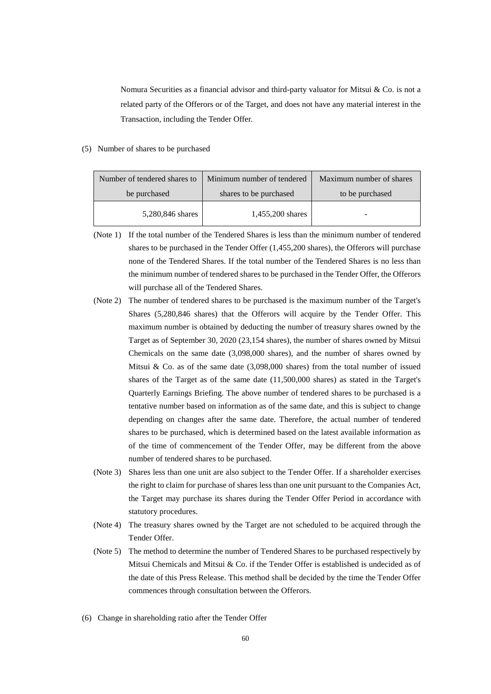Nomura Securities as a financial advisor and third-party valuator for Mitsui & Co. is not a related party of the Offerors or of the Target, and does not have any material interest in the Transaction, including the Tender Offer.

# (5) Number of shares to be purchased

| Number of tendered shares to | Minimum number of tendered | Maximum number of shares |
|------------------------------|----------------------------|--------------------------|
| be purchased                 | shares to be purchased     | to be purchased          |
| 5,280,846 shares             | 1,455,200 shares           |                          |

- (Note 1) If the total number of the Tendered Shares is less than the minimum number of tendered shares to be purchased in the Tender Offer (1,455,200 shares), the Offerors will purchase none of the Tendered Shares. If the total number of the Tendered Shares is no less than the minimum number of tendered shares to be purchased in the Tender Offer, the Offerors will purchase all of the Tendered Shares.
- (Note 2) The number of tendered shares to be purchased is the maximum number of the Target's Shares (5,280,846 shares) that the Offerors will acquire by the Tender Offer. This maximum number is obtained by deducting the number of treasury shares owned by the Target as of September 30, 2020 (23,154 shares), the number of shares owned by Mitsui Chemicals on the same date (3,098,000 shares), and the number of shares owned by Mitsui & Co. as of the same date  $(3,098,000)$  shares) from the total number of issued shares of the Target as of the same date (11,500,000 shares) as stated in the Target's Quarterly Earnings Briefing. The above number of tendered shares to be purchased is a tentative number based on information as of the same date, and this is subject to change depending on changes after the same date. Therefore, the actual number of tendered shares to be purchased, which is determined based on the latest available information as of the time of commencement of the Tender Offer, may be different from the above number of tendered shares to be purchased.
- (Note 3) Shares less than one unit are also subject to the Tender Offer. If a shareholder exercises the right to claim for purchase of shares less than one unit pursuant to the Companies Act, the Target may purchase its shares during the Tender Offer Period in accordance with statutory procedures.
- (Note 4) The treasury shares owned by the Target are not scheduled to be acquired through the Tender Offer.
- (Note 5) The method to determine the number of Tendered Shares to be purchased respectively by Mitsui Chemicals and Mitsui & Co. if the Tender Offer is established is undecided as of the date of this Press Release. This method shall be decided by the time the Tender Offer commences through consultation between the Offerors.
- (6) Change in shareholding ratio after the Tender Offer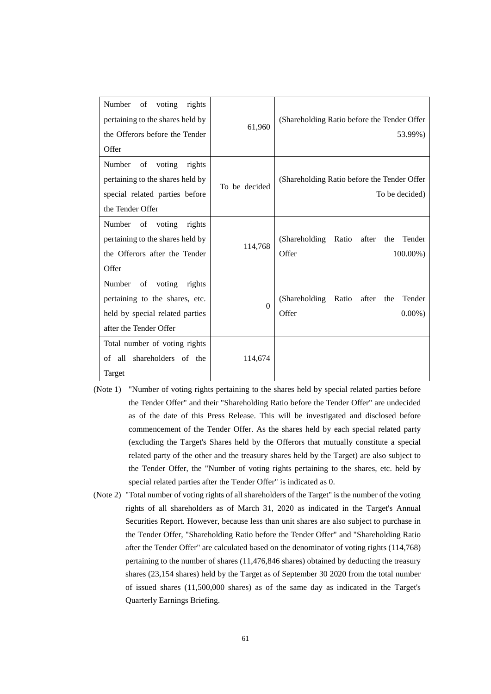| Number<br>of<br>voting<br>rights<br>pertaining to the shares held by<br>the Offerors before the Tender<br>Offer                 | 61,960        | (Shareholding Ratio before the Tender Offer<br>53.99%)                 |
|---------------------------------------------------------------------------------------------------------------------------------|---------------|------------------------------------------------------------------------|
| Number<br>of<br>voting<br>rights<br>pertaining to the shares held by<br>special related parties before<br>the Tender Offer      | To be decided | (Shareholding Ratio before the Tender Offer<br>To be decided)          |
| Number<br>of voting<br>rights<br>pertaining to the shares held by<br>the Offerors after the Tender<br>Offer                     | 114,768       | (Shareholding Ratio<br>after<br>Tender<br>the<br>Offer<br>$100.00\%$ ) |
| Number<br>voting<br>of<br>rights<br>pertaining to the shares, etc.<br>held by special related parties<br>after the Tender Offer | $\Omega$      | (Shareholding Ratio<br>after<br>Tender<br>the<br>Offer<br>$0.00\%$ )   |
| Total number of voting rights<br>all shareholders of the<br>of<br>Target                                                        | 114,674       |                                                                        |

- (Note 1) "Number of voting rights pertaining to the shares held by special related parties before the Tender Offer" and their "Shareholding Ratio before the Tender Offer" are undecided as of the date of this Press Release. This will be investigated and disclosed before commencement of the Tender Offer. As the shares held by each special related party (excluding the Target's Shares held by the Offerors that mutually constitute a special related party of the other and the treasury shares held by the Target) are also subject to the Tender Offer, the "Number of voting rights pertaining to the shares, etc. held by special related parties after the Tender Offer" is indicated as 0.
- (Note 2) "Total number of voting rights of all shareholders of the Target" is the number of the voting rights of all shareholders as of March 31, 2020 as indicated in the Target's Annual Securities Report. However, because less than unit shares are also subject to purchase in the Tender Offer, "Shareholding Ratio before the Tender Offer" and "Shareholding Ratio after the Tender Offer" are calculated based on the denominator of voting rights (114,768) pertaining to the number of shares (11,476,846 shares) obtained by deducting the treasury shares (23,154 shares) held by the Target as of September 30 2020 from the total number of issued shares (11,500,000 shares) as of the same day as indicated in the Target's Quarterly Earnings Briefing.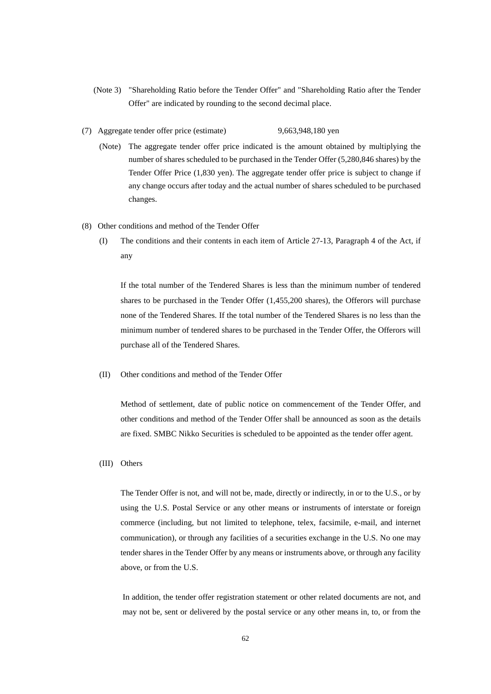- (Note 3) "Shareholding Ratio before the Tender Offer" and "Shareholding Ratio after the Tender Offer" are indicated by rounding to the second decimal place.
- (7) Aggregate tender offer price (estimate) 9,663,948,180 yen
	- (Note) The aggregate tender offer price indicated is the amount obtained by multiplying the number of shares scheduled to be purchased in the Tender Offer (5,280,846 shares) by the Tender Offer Price (1,830 yen). The aggregate tender offer price is subject to change if any change occurs after today and the actual number of shares scheduled to be purchased changes.
- (8) Other conditions and method of the Tender Offer
	- (I) The conditions and their contents in each item of Article 27-13, Paragraph 4 of the Act, if any

If the total number of the Tendered Shares is less than the minimum number of tendered shares to be purchased in the Tender Offer (1,455,200 shares), the Offerors will purchase none of the Tendered Shares. If the total number of the Tendered Shares is no less than the minimum number of tendered shares to be purchased in the Tender Offer, the Offerors will purchase all of the Tendered Shares.

(II) Other conditions and method of the Tender Offer

Method of settlement, date of public notice on commencement of the Tender Offer, and other conditions and method of the Tender Offer shall be announced as soon as the details are fixed. SMBC Nikko Securities is scheduled to be appointed as the tender offer agent.

(III) Others

The Tender Offer is not, and will not be, made, directly or indirectly, in or to the U.S., or by using the U.S. Postal Service or any other means or instruments of interstate or foreign commerce (including, but not limited to telephone, telex, facsimile, e-mail, and internet communication), or through any facilities of a securities exchange in the U.S. No one may tender shares in the Tender Offer by any means or instruments above, or through any facility above, or from the U.S.

In addition, the tender offer registration statement or other related documents are not, and may not be, sent or delivered by the postal service or any other means in, to, or from the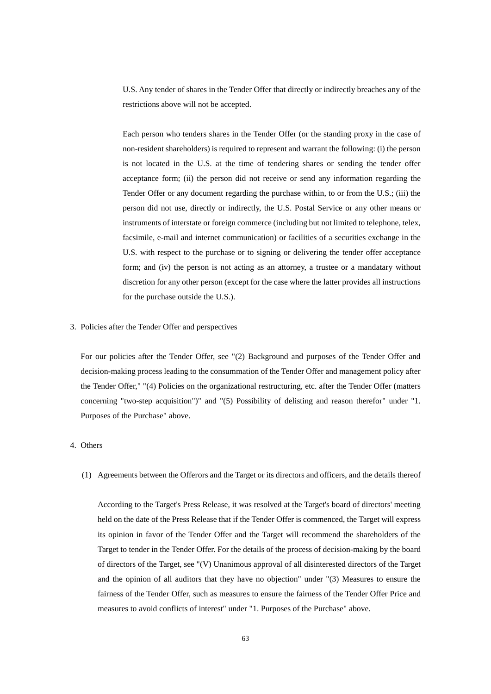U.S. Any tender of shares in the Tender Offer that directly or indirectly breaches any of the restrictions above will not be accepted.

Each person who tenders shares in the Tender Offer (or the standing proxy in the case of non-resident shareholders) is required to represent and warrant the following: (i) the person is not located in the U.S. at the time of tendering shares or sending the tender offer acceptance form; (ii) the person did not receive or send any information regarding the Tender Offer or any document regarding the purchase within, to or from the U.S.; (iii) the person did not use, directly or indirectly, the U.S. Postal Service or any other means or instruments of interstate or foreign commerce (including but not limited to telephone, telex, facsimile, e-mail and internet communication) or facilities of a securities exchange in the U.S. with respect to the purchase or to signing or delivering the tender offer acceptance form; and (iv) the person is not acting as an attorney, a trustee or a mandatary without discretion for any other person (except for the case where the latter provides all instructions for the purchase outside the U.S.).

3. Policies after the Tender Offer and perspectives

For our policies after the Tender Offer, see "(2) Background and purposes of the Tender Offer and decision-making process leading to the consummation of the Tender Offer and management policy after the Tender Offer," "(4) Policies on the organizational restructuring, etc. after the Tender Offer (matters concerning "two-step acquisition")" and "(5) Possibility of delisting and reason therefor" under "1. Purposes of the Purchase" above.

# 4. Others

(1) Agreements between the Offerors and the Target or its directors and officers, and the details thereof

According to the Target's Press Release, it was resolved at the Target's board of directors' meeting held on the date of the Press Release that if the Tender Offer is commenced, the Target will express its opinion in favor of the Tender Offer and the Target will recommend the shareholders of the Target to tender in the Tender Offer. For the details of the process of decision-making by the board of directors of the Target, see "(V) Unanimous approval of all disinterested directors of the Target and the opinion of all auditors that they have no objection" under "(3) Measures to ensure the fairness of the Tender Offer, such as measures to ensure the fairness of the Tender Offer Price and measures to avoid conflicts of interest" under "1. Purposes of the Purchase" above.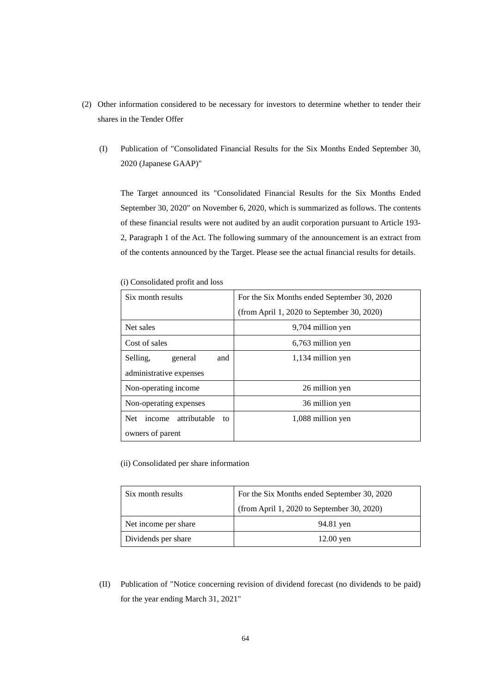- (2) Other information considered to be necessary for investors to determine whether to tender their shares in the Tender Offer
	- (I) Publication of "Consolidated Financial Results for the Six Months Ended September 30, 2020 (Japanese GAAP)"

The Target announced its "Consolidated Financial Results for the Six Months Ended September 30, 2020" on November 6, 2020, which is summarized as follows. The contents of these financial results were not audited by an audit corporation pursuant to Article 193- 2, Paragraph 1 of the Act. The following summary of the announcement is an extract from of the contents announced by the Target. Please see the actual financial results for details.

| Six month results                          | For the Six Months ended September 30, 2020 |
|--------------------------------------------|---------------------------------------------|
|                                            | (from April 1, 2020 to September 30, 2020)  |
| Net sales                                  | 9,704 million yen                           |
| Cost of sales                              | 6,763 million yen                           |
| Selling.<br>general<br>and                 | 1,134 million yen                           |
| administrative expenses                    |                                             |
| Non-operating income                       | 26 million yen                              |
| Non-operating expenses                     | 36 million yen                              |
| attributable<br><b>Net</b><br>income<br>to | 1,088 million yen                           |
| owners of parent                           |                                             |

(i) Consolidated profit and loss

(ii) Consolidated per share information

| Six month results    | For the Six Months ended September 30, 2020 |
|----------------------|---------------------------------------------|
|                      | (from April 1, 2020 to September 30, 2020)  |
| Net income per share | 94.81 yen                                   |
| Dividends per share  | $12.00$ yen                                 |

(II) Publication of "Notice concerning revision of dividend forecast (no dividends to be paid) for the year ending March 31, 2021"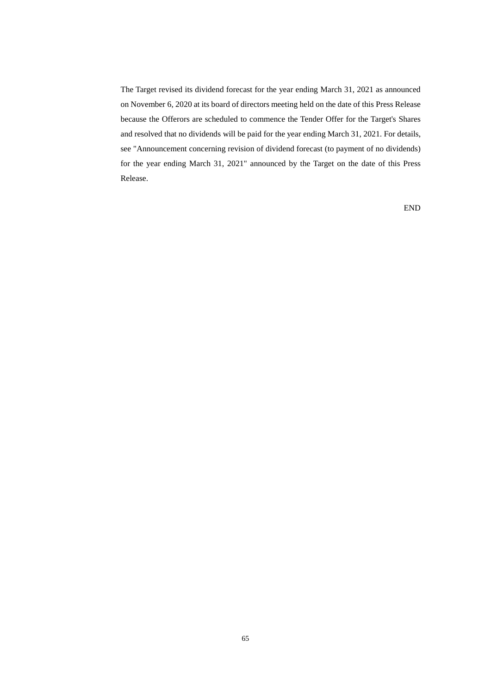The Target revised its dividend forecast for the year ending March 31, 2021 as announced on November 6, 2020 at its board of directors meeting held on the date of this Press Release because the Offerors are scheduled to commence the Tender Offer for the Target's Shares and resolved that no dividends will be paid for the year ending March 31, 2021. For details, see "Announcement concerning revision of dividend forecast (to payment of no dividends) for the year ending March 31, 2021" announced by the Target on the date of this Press Release.